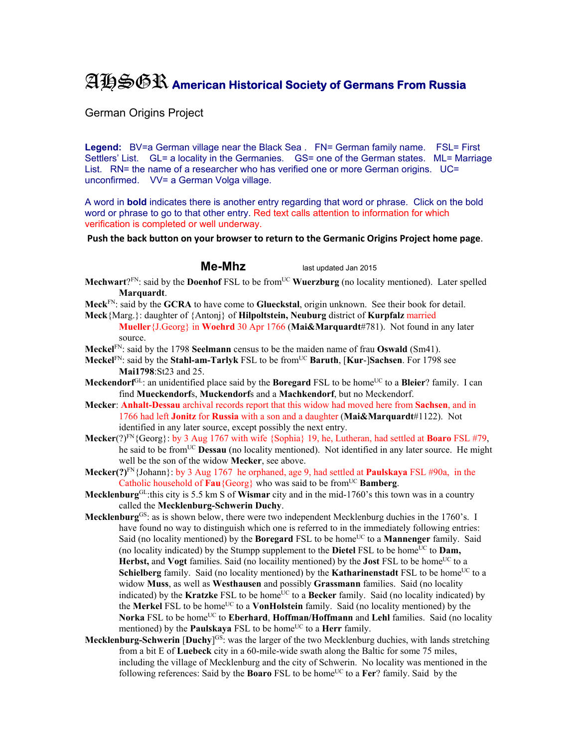## AHSGR **American Historical Society of Germans From Russia**

German Origins Project

Legend: BV=a German village near the Black Sea . FN= German family name. FSL= First Settlers' List. GL= a locality in the Germanies. GS= one of the German states. ML= Marriage List. RN= the name of a researcher who has verified one or more German origins. UC= unconfirmed. VV= a German Volga village.

A word in **bold** indicates there is another entry regarding that word or phrase. Click on the bold word or phrase to go to that other entry. Red text calls attention to information for which verification is completed or well underway.

**Push the back button on your browser to return to the Germanic Origins Project home page**.

**Me-Mhz** last updated Jan 2015

- **Mechwart**?FN: said by the **Doenhof** FSL to be from<sup>UC</sup> **Wuerzburg** (no locality mentioned). Later spelled **Marquardt**.
- **Meck**FN: said by the **GCRA** to have come to **Glueckstal**, origin unknown. See their book for detail.
- **Meck**{Marg.}: daughter of {Antonj} of **Hilpoltstein, Neuburg** district of **Kurpfalz** married **Mueller**{J.Georg} in **Woehrd** 30 Apr 1766 (**Mai&Marquardt**#781). Not found in any later source.
- **Meckel**FN: said by the 1798 **Seelmann** census to be the maiden name of frau **Oswald** (Sm41).
- **Meckel**FN: said by the **Stahl-am-Tarlyk** FSL to be fromUC **Baruth**, [**Kur**-]**Sachsen**. For 1798 see **Mai1798**:St23 and 25.
- **Meckendorf**<sup>GL</sup>: an unidentified place said by the **Boregard** FSL to be home<sup>UC</sup> to a **Bleier**? family. I can find **Mueckendorf**s, **Muckendorf**s and a **Machkendorf**, but no Meckendorf.
- **Mecker**: **Anhalt-Dessau** archival records report that this widow had moved here from **Sachsen**, and in 1766 had left **Jonitz** for **Russia** with a son and a daughter (**Mai&Marquardt**#1122). Not identified in any later source, except possibly the next entry.
- **Mecker**(?)FN{Georg}: by 3 Aug 1767 with wife {Sophia} 19, he, Lutheran, had settled at **Boaro** FSL #79, he said to be fromUC **Dessau** (no locality mentioned). Not identified in any later source. He might well be the son of the widow **Mecker**, see above.
- **Mecker(?)**FN{Johann}: by 3 Aug 1767 he orphaned, age 9, had settled at **Paulskaya** FSL #90a, in the Catholic household of **Fau**{Georg} who was said to be from<sup>UC</sup> Bamberg.
- **Mecklenburg**GL:this city is 5.5 km S of **Wismar** city and in the mid-1760's this town was in a country called the **Mecklenburg-Schwerin Duchy**.
- **Mecklenburg**<sup>GS</sup>: as is shown below, there were two independent Mecklenburg duchies in the 1760's. I have found no way to distinguish which one is referred to in the immediately following entries: Said (no locality mentioned) by the **Boregard** FSL to be home<sup>UC</sup> to a **Mannenger** family. Said (no locality indicated) by the Stumpp supplement to the **Dietel** FSL to be home<sup>UC</sup> to **Dam. Herbst, and Vogt** families. Said (no locaility mentioned) by the **Jost** FSL to be home<sup>UC</sup> to a **Schielberg** family. Said (no locality mentioned) by the **Katharinenstadt** FSL to be home<sup>UC</sup> to a widow **Muss**, as well as **Westhausen** and possibly **Grassmann** families. Said (no locality indicated) by the **Kratzke** FSL to be home<sup>UC</sup> to a **Becker** family. Said (no locality indicated) by the **Merkel** FSL to be home<sup>UC</sup> to a **VonHolstein** family. Said (no locality mentioned) by the Norka FSL to be home<sup>UC</sup> to **Eberhard**, **Hoffman/Hoffmann** and **Lehl** families. Said (no locality mentioned) by the **Paulskaya** FSL to be home<sup>UC</sup> to a **Herr** family.
- **Mecklenburg-Schwerin [Duchy]<sup>GS</sup>:** was the larger of the two Mecklenburg duchies, with lands stretching from a bit E of **Luebeck** city in a 60-mile-wide swath along the Baltic for some 75 miles, including the village of Mecklenburg and the city of Schwerin. No locality was mentioned in the following references: Said by the **Boaro** FSL to be home<sup>UC</sup> to a **Fer**? family. Said by the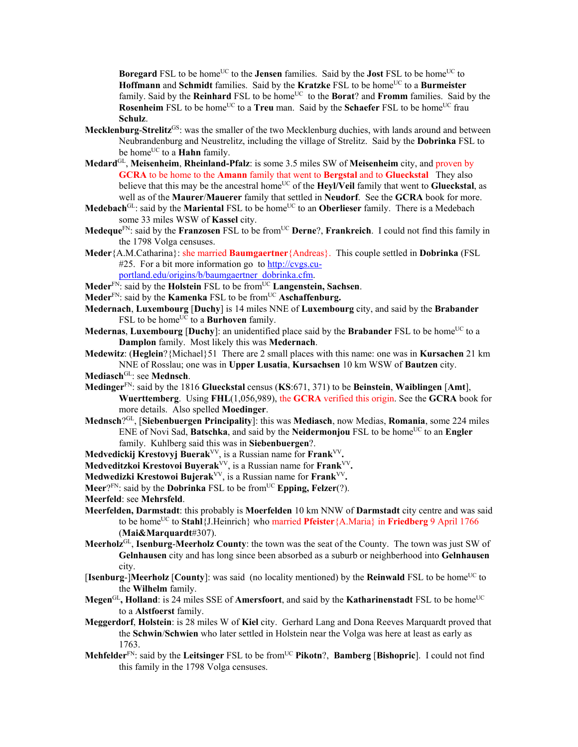**Boregard** FSL to be home<sup>UC</sup> to the **Jensen** families. Said by the **Jost** FSL to be home<sup>UC</sup> to **Hoffmann** and **Schmidt** families. Said by the **Kratzke** FSL to be home<sup>UC</sup> to a **Burmeister** family. Said by the **Reinhard** FSL to be home<sup>UC</sup> to the **Borat**? and **Fromm** families. Said by the **Rosenheim** FSL to be home<sup>UC</sup> to a **Treu** man. Said by the **Schaefer** FSL to be home<sup>UC</sup> frau **Schulz**.

- **Mecklenburg**-**Strelitz**GS: was the smaller of the two Mecklenburg duchies, with lands around and between Neubrandenburg and Neustrelitz, including the village of Strelitz. Said by the **Dobrinka** FSL to be home<sup>UC</sup> to a **Hahn** family.
- **Medard**GL, **Meisenheim**, **Rheinland-Pfalz**: is some 3.5 miles SW of **Meisenheim** city, and proven by **GCRA** to be home to the **Amann** family that went to **Bergstal** and to **Glueckstal** They also believe that this may be the ancestral home<sup>UC</sup> of the **Heyl/Veil** family that went to **Glueckstal**, as well as of the **Maurer**/**Mauerer** family that settled in **Neudorf**. See the **GCRA** book for more.
- **Medebach**<sup>GL</sup>: said by the **Mariental** FSL to be home<sup>UC</sup> to an **Oberlieser** family. There is a Medebach some 33 miles WSW of **Kassel** city.
- **Medeque**<sup>FN</sup>: said by the **Franzosen** FSL to be from<sup>UC</sup> **Derne**?, **Frankreich**. I could not find this family in the 1798 Volga censuses.
- **Meder**{A.M.Catharina}: she married **Baumgaertner**{Andreas}. This couple settled in **Dobrinka** (FSL #25. For a bit more information go to http://cvgs.cuportland.edu/origins/b/baumgaertner\_dobrinka.cfm.
- **Meder**FN: said by the **Holstein** FSL to be fromUC **Langenstein, Sachsen**.
- **Meder**<sup>FN</sup>: said by the **Kamenka** FSL to be from<sup>UC</sup> **Aschaffenburg.**
- **Medernach**, **Luxembourg** [**Duchy**] is 14 miles NNE of **Luxembourg** city, and said by the **Brabander** FSL to be home<sup>UC</sup> to a **Burhoven** family.
- **Medernas, Luxembourg** [Duchy]: an unidentified place said by the **Brabander** FSL to be home<sup>UC</sup> to a **Damplon** family. Most likely this was **Medernach**.
- **Medewitz**: (**Heglein**?{Michael}51 There are 2 small places with this name: one was in **Kursachen** 21 km NNE of Rosslau; one was in **Upper Lusatia**, **Kursachsen** 10 km WSW of **Bautzen** city.
- Mediasch<sup>GL</sup>: see Mednsch.
- **Medinger**FN: said by the 1816 **Glueckstal** census (**KS**:671, 371) to be **Beinstein**, **Waiblingen** [**Amt**], **Wuerttemberg**. Using **FHL**(1,056,989), the **GCRA** verified this origin. See the **GCRA** book for more details.Also spelled **Moedinger**.
- **Mednsch**?GL, [**Siebenbuergen Principality**]: this was **Mediasch**, now Medias, **Romania**, some 224 miles ENE of Novi Sad, **Batschka**, and said by the **Neidermonjou** FSL to be home<sup>UC</sup> to an **Engler** family. Kuhlberg said this was in **Siebenbuergen**?.
- **Medvedickij Krestovyj Buerak**VV, is a Russian name for **Frank**VV**.**
- **Medveditzkoi Krestovoi Buyerak**VV, is a Russian name for **Frank**VV**.**
- **Medwedizki Krestowoi Bujerak**VV, is a Russian name for **Frank**VV**.**
- Meer?<sup>FN</sup>: said by the **Dobrinka** FSL to be from<sup>UC</sup> **Epping, Felzer**(?).
- **Meerfeld**: see **Mehrsfeld**.
- **Meerfelden, Darmstadt**: this probably is **Moerfelden** 10 km NNW of **Darmstadt** city centre and was said to be home<sup>UC</sup> to **Stahl**{J.Heinrich} who married **Pfeister**{A.Maria} in **Friedberg** 9 April 1766 (**Mai&Marquardt**#307).
- **Meerholz**GL, **Isenburg**-**Meerholz County**: the town was the seat of the County. The town was just SW of **Gelnhausen** city and has long since been absorbed as a suburb or neighberhood into **Gelnhausen** city.
- **[Isenburg-]Meerholz** [County]: was said (no locality mentioned) by the **Reinwald** FSL to be home<sup>UC</sup> to the **Wilhelm** family.
- **Megen**<sup>GL</sup>, **Holland**: is 24 miles SSE of **Amersfoort**, and said by the **Katharinenstadt** FSL to be home<sup>UC</sup> to a **Alstfoerst** family.
- **Meggerdorf**, **Holstein**: is 28 miles W of **Kiel** city. Gerhard Lang and Dona Reeves Marquardt proved that the **Schwin**/**Schwien** who later settled in Holstein near the Volga was here at least as early as 1763.
- **Mehfelder**<sup>FN</sup>: said by the **Leitsinger** FSL to be from<sup>UC</sup> **Pikotn**?, **Bamberg** [**Bishopric**]. I could not find this family in the 1798 Volga censuses.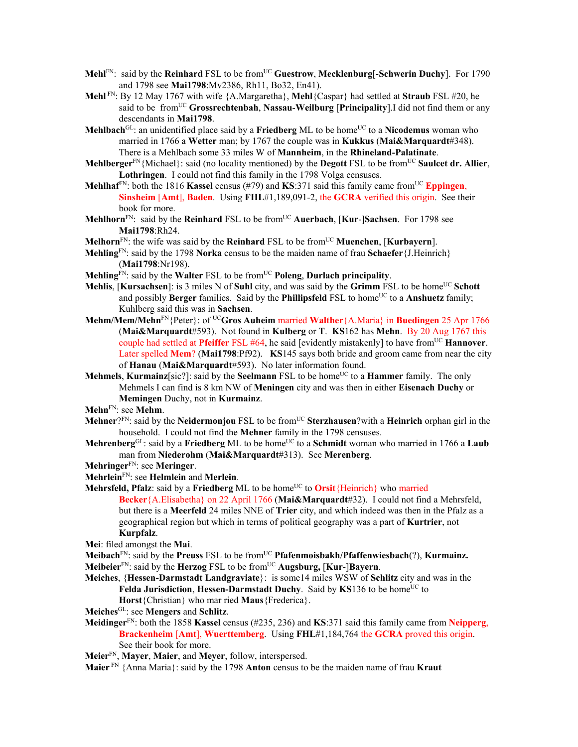- **Mehl**<sup>FN</sup>: said by the **Reinhard** FSL to be from<sup>UC</sup> Guestrow, **Mecklenburg**[-Schwerin Duchy]. For 1790 and 1798 see **Mai1798**:Mv2386, Rh11, Bo32, En41).
- **Mehl** FN: By 12 May 1767 with wife {A.Margaretha}, **Mehl**{Caspar} had settled at **Straub** FSL #20, he said to be fromUC **Grossrechtenbah**, **Nassau**-**Weilburg** [**Principality**].I did not find them or any descendants in **Mai1798**.
- **Mehlbach**<sup>GL</sup>: an unidentified place said by a **Friedberg** ML to be home<sup>UC</sup> to a **Nicodemus** woman who married in 1766 a **Wetter** man; by 1767 the couple was in **Kukkus** (**Mai&Marquardt**#348). There is a Mehlbach some 33 miles W of **Mannheim**, in the **Rhineland-Palatinate**.
- **Mehlberger**<sup>FN</sup>{Michael}: said (no locality mentioned) by the **Degott** FSL to be from<sup>UC</sup> **Saulcet dr. Allier**, **Lothringen**. I could not find this family in the 1798 Volga censuses.
- **Mehlhaf**<sup>EN</sup>: both the 1816 **Kassel** census (#79) and **KS**:371 said this family came from<sup>UC</sup> **Eppingen**, **Sinsheim** [**Amt**], **Baden**. Using **FHL**#1,189,091-2, the **GCRA** verified this origin. See their book for more.
- **Mehlhorn**FN: said by the **Reinhard** FSL to be fromUC **Auerbach**, [**Kur**-]**Sachsen**. For 1798 see **Mai1798**:Rh24.
- **Melhorn**FN: the wife was said by the **Reinhard** FSL to be fromUC **Muenchen**, [**Kurbayern**].

**Mehling**FN: said by the 1798 **Norka** census to be the maiden name of frau **Schaefer**{J.Heinrich} (**Mai1798**:Nr198).

- **Mehling**FN: said by the **Walter** FSL to be fromUC **Poleng**, **Durlach principality**.
- **Mehlis**, [**Kursachsen**]: is 3 miles N of **Suhl** city, and was said by the **Grimm** FSL to be home<sup>UC</sup> **Schott** and possibly **Berger** families. Said by the **Phillipsfeld** FSL to home<sup>UC</sup> to a **Anshuetz** family; Kuhlberg said this was in **Sachsen**.
- **Mehm/Mem/Mehn**FN{Peter}: of UC**Gros Auheim** married **Walther**{A.Maria} in **Buedingen** 25 Apr 1766 (**Mai&Marquardt**#593). Not found in **Kulberg** or **T**. **KS**162 has **Mehn**. By 20 Aug 1767 this couple had settled at **Pfeiffer** FSL #64, he said [evidently mistakenly] to have from<sup>UC</sup> **Hannover**. Later spelled **Mem**? (**Mai1798**:Pf92). **KS**145 says both bride and groom came from near the city of **Hanau** (**Mai&Marquardt**#593). No later information found.
- **Mehmels, Kurmainz**[sic?]: said by the **Seelmann** FSL to be home<sup>UC</sup> to a **Hammer** family. The only Mehmels I can find is 8 km NW of **Meningen** city and was then in either **Eisenach Duchy** or **Memingen** Duchy, not in **Kurmainz**.
- **Mehn**FN: see **Mehm**.
- **Mehner**?FN: said by the **Neidermonjou** FSL to be fromUC **Sterzhausen**?with a **Heinrich** orphan girl in the household. I could not find the **Mehner** family in the 1798 censuses.
- **Mehrenberg**<sup>GL</sup>: said by a **Friedberg** ML to be home<sup>UC</sup> to a **Schmidt** woman who married in 1766 a **Laub** man from **Niederohm** (**Mai&Marquardt**#313). See **Merenberg**.
- **Mehringer**FN: see **Meringer**.
- **Mehrlein**FN: see **Helmlein** and **Merlein**.
- **Mehrsfeld, Pfalz**: said by a **Friedberg** ML to be home<sup>UC</sup> to **Orsit**{Heinrich} who married **Becker**{A.Elisabetha} on 22 April 1766 (**Mai&Marquardt**#32). I could not find a Mehrsfeld, but there is a **Meerfeld** 24 miles NNE of **Trier** city, and which indeed was then in the Pfalz as a geographical region but which in terms of political geography was a part of **Kurtrier**, not **Kurpfalz**.
- **Mei**: filed amongst the **Mai**.
- Meibach<sup>FN</sup>: said by the **Preuss** FSL to be from<sup>UC</sup> **Pfafenmoisbakh/Pfaffenwiesbach**(?), **Kurmainz. Meibeier**FN: said by the **Herzog** FSL to be fromUC **Augsburg,** [**Kur**-]**Bayern**.
- **Meiches**, {**Hessen-Darmstadt Landgraviate**}: is some14 miles WSW of **Schlitz** city and was in the Felda Jurisdiction, Hessen-Darmstadt Duchy. Said by KS136 to be home<sup>UC</sup> to **Horst**{Christian} who mar ried **Maus**{Frederica}.
- **Meiches**GL: see **Mengers** and **Schlitz**.
- **Meidinger**FN: both the 1858 **Kassel** census (#235, 236) and **KS**:371 said this family came from **Neipperg**, **Brackenheim** [**Amt**], **Wuerttemberg**. Using **FHL**#1,184,764 the **GCRA** proved this origin. See their book for more.
- **Meier**FN, **Mayer**, **Maier**, and **Meyer**, follow, interspersed.
- **Maier** FN {Anna Maria}: said by the 1798 **Anton** census to be the maiden name of frau **Kraut**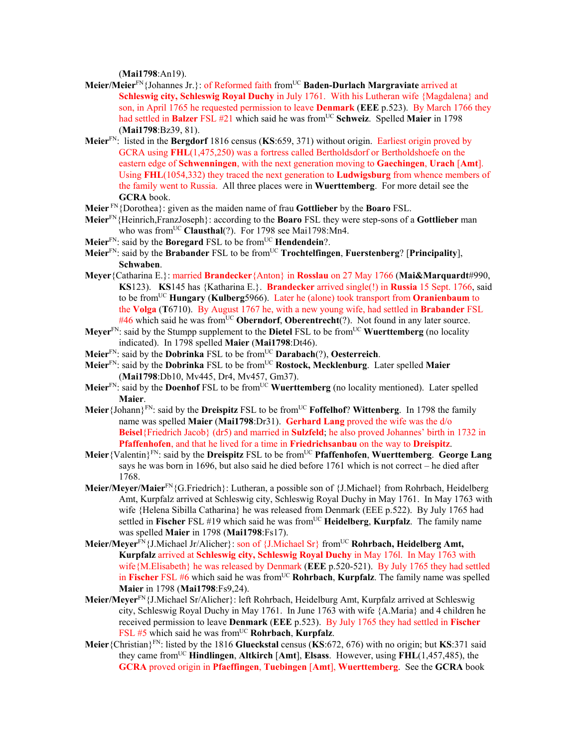(**Mai1798**:An19).

- **Meier/Meier**FN{Johannes Jr.}: of Reformed faith fromUC **Baden-Durlach Margraviate** arrived at **Schleswig city, Schleswig Royal Duchy** in July 1761. With his Lutheran wife {Magdalena} and son, in April 1765 he requested permission to leave **Denmark** (**EEE** p.523). By March 1766 they had settled in **Balzer** FSL #21 which said he was from<sup>UC</sup> **Schweiz**. Spelled **Maier** in 1798 (**Mai1798**:Bz39, 81).
- **Meier**FN: listed in the **Bergdorf** 1816 census (**KS**:659, 371) without origin. Earliest origin proved by GCRA using **FHL**(1,475,250) was a fortress called Bertholdsdorf or Bertholdshoefe on the eastern edge of **Schwenningen**, with the next generation moving to **Gaechingen**, **Urach** [**Amt**]. Using **FHL**(1054,332) they traced the next generation to **Ludwigsburg** from whence members of the family went to Russia. All three places were in **Wuerttemberg**. For more detail see the **GCRA** book.
- **Meier** FN{Dorothea}: given as the maiden name of frau **Gottlieber** by the **Boaro** FSL.
- **Meier**FN{Heinrich,FranzJoseph}: according to the **Boaro** FSL they were step-sons of a **Gottlieber** man who was from<sup>UC</sup> Clausthal(?). For 1798 see Mai1798:Mn4.
- **Meier**<sup>FN</sup>: said by the **Boregard** FSL to be from<sup>UC</sup> **Hendendein**?.
- **Meier**FN: said by the **Brabander** FSL to be fromUC **Trochtelfingen**, **Fuerstenberg**? [**Principality**], **Schwaben**.
- **Meyer**{Catharina E.}: married **Brandecker**{Anton} in **Rosslau** on 27 May 1766 (**Mai&Marquardt**#990, **KS**123). **KS**145 has {Katharina E.}. **Brandecker** arrived single(!) in **Russia** 15 Sept. 1766, said to be fromUC **Hungary** (**Kulberg**5966). Later he (alone) took transport from **Oranienbaum** to the **Volga** (**T**6710). By August 1767 he, with a new young wife, had settled in **Brabander** FSL #46 which said he was from<sup>UC</sup> **Oberndorf**, **Oberentrecht**(?). Not found in any later source.
- **Meyer**<sup>FN</sup>: said by the Stumpp supplement to the **Dietel** FSL to be from<sup>UC</sup> **Wuerttemberg** (no locality indicated). In 1798 spelled **Maier** (**Mai1798**:Dt46).
- **Meier**FN: said by the **Dobrinka** FSL to be fromUC **Darabach**(?), **Oesterreich**.
- **Meier**FN: said by the **Dobrinka** FSL to be fromUC **Rostock, Mecklenburg**. Later spelled **Maier** (**Mai1798**:Db10, Mv445, Dr4, Mv457, Gm37).
- **Meier**<sup>FN</sup>: said by the **Doenhof** FSL to be from<sup>UC</sup> **Wuerttemberg** (no locality mentioned). Later spelled **Maier**.
- **Meier**{Johann}<sup>FN</sup>: said by the **Dreispitz** FSL to be from<sup>UC</sup> **Foffelhof**? Wittenberg. In 1798 the family name was spelled **Maier** (**Mai1798**:Dr31). **Gerhard Lang** proved the wife was the d/o **Beisel**{Friedrich Jacob} (dr5) and married in **Sulzfeld**; he also proved Johannes' birth in 1732 in **Pfaffenhofen**, and that he lived for a time in **Friedrichsanbau** on the way to **Dreispitz**.
- **Meier**{Valentin}FN: said by the **Dreispitz** FSL to be fromUC **Pfaffenhofen**, **Wuerttemberg**. **George Lang** says he was born in 1696, but also said he died before 1761 which is not correct – he died after 1768.
- **Meier/Meyer/Maier**FN{G.Friedrich}: Lutheran, a possible son of {J.Michael} from Rohrbach, Heidelberg Amt, Kurpfalz arrived at Schleswig city, Schleswig Royal Duchy in May 1761. In May 1763 with wife {Helena Sibilla Catharina} he was released from Denmark (EEE p.522). By July 1765 had settled in **Fischer** FSL #19 which said he was fromUC **Heidelberg**, **Kurpfalz**. The family name was spelled **Maier** in 1798 (**Mai1798**:Fs17).
- Meier/Meyer<sup>FN</sup>{J.Michael Jr/Alicher}: son of {J.Michael Sr} from<sup>UC</sup> **Rohrbach, Heidelberg Amt, Kurpfalz** arrived at **Schleswig city, Schleswig Royal Duchy** in May 176l. In May 1763 with wife{M.Elisabeth} he was released by Denmark (**EEE** p.520-521). By July 1765 they had settled in **Fischer** FSL #6 which said he was from<sup>UC</sup> **Rohrbach**, **Kurpfalz**. The family name was spelled **Maier** in 1798 (**Mai1798**:Fs9,24).
- **Meier/Meyer**FN{J.Michael Sr/Alicher}: left Rohrbach, Heidelburg Amt, Kurpfalz arrived at Schleswig city, Schleswig Royal Duchy in May 1761. In June 1763 with wife {A.Maria} and 4 children he received permission to leave **Denmark** (**EEE** p.523). By July 1765 they had settled in **Fischer** FSL #5 which said he was from<sup>UC</sup> Rohrbach, Kurpfalz.
- **Meier**{Christian}FN: listed by the 1816 **Glueckstal** census (**KS**:672, 676) with no origin; but **KS**:371 said they came fromUC **Hindlingen**, **Altkirch** [**Amt**], **Elsass**. However, using **FHL**(1,457,485), the **GCRA** proved origin in **Pfaeffingen**, **Tuebingen** [**Amt**], **Wuerttemberg**. See the **GCRA** book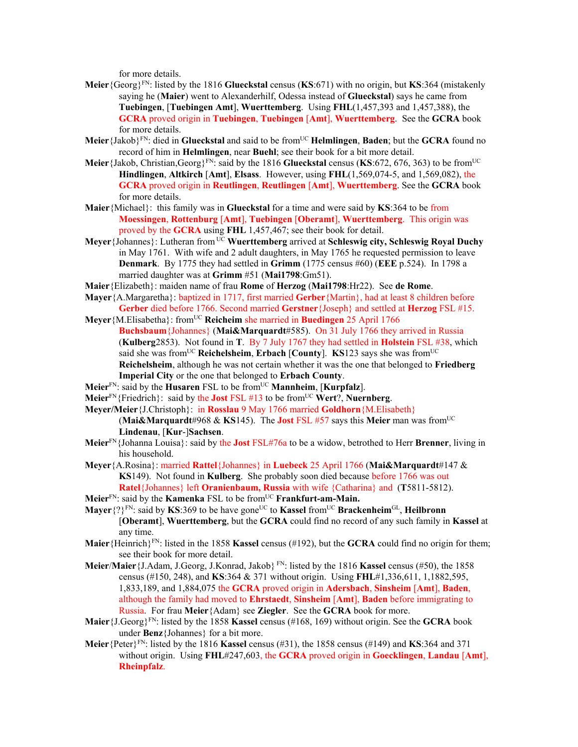for more details.

- **Meier**{Georg}FN: listed by the 1816 **Glueckstal** census (**KS**:671) with no origin, but **KS**:364 (mistakenly saying he (**Maier**) went to Alexanderhilf, Odessa instead of **Glueckstal**) says he came from **Tuebingen**, [**Tuebingen Amt**], **Wuerttemberg**. Using **FHL**(1,457,393 and 1,457,388), the **GCRA** proved origin in **Tuebingen**, **Tuebingen** [**Amt**], **Wuerttemberg**. See the **GCRA** book for more details.
- **Meier**{Jakob}FN: died in **Glueckstal** and said to be fromUC **Helmlingen**, **Baden**; but the **GCRA** found no record of him in **Helmlingen**, near **Buehl**; see their book for a bit more detail.
- **Meier**{Jakob, Christian, Georg}<sup>FN</sup>: said by the 1816 **Glueckstal** census (**KS**:672, 676, 363) to be from<sup>UC</sup> **Hindlingen**, **Altkirch** [**Amt**], **Elsass**. However, using **FHL**(1,569,074-5, and 1,569,082), the **GCRA** proved origin in **Reutlingen**, **Reutlingen** [**Amt**], **Wuerttemberg**. See the **GCRA** book for more details.
- **Maier**{Michael}: this family was in **Glueckstal** for a time and were said by **KS**:364 to be from **Moessingen**, **Rottenburg** [**Amt**], **Tuebingen** [**Oberamt**], **Wuerttemberg**. This origin was proved by the **GCRA** using **FHL** 1,457,467; see their book for detail.
- **Meyer**{Johannes}: Lutheran from UC **Wuerttemberg** arrived at **Schleswig city, Schleswig Royal Duchy** in May 1761. With wife and 2 adult daughters, in May 1765 he requested permission to leave **Denmark**. By 1775 they had settled in **Grimm** (1775 census #60) (**EEE** p.524). In 1798 a married daughter was at **Grimm** #51 (**Mai1798**:Gm51).
- **Maier**{Elizabeth}: maiden name of frau **Rome** of **Herzog** (**Mai1798**:Hr22). See **de Rome**.
- **Mayer**{A.Margaretha}: baptized in 1717, first married **Gerber**{Martin}, had at least 8 children before **Gerber** died before 1766. Second married **Gerstner**{Joseph} and settled at **Herzog** FSL #15.
- **Meyer** {M.Elisabetha}: from<sup>UC</sup> **Reicheim** she married in **Buedingen** 25 April 1766 **Buchsbaum**{Johannes} (**Mai&Marquardt**#585). On 31 July 1766 they arrived in Russia (**Kulberg**2853). Not found in **T**. By 7 July 1767 they had settled in **Holstein** FSL #38, which said she was from<sup>UC</sup> **Reichelsheim**, **Erbach** [County]. **KS**123 says she was from<sup>UC</sup> **Reichelsheim**, although he was not certain whether it was the one that belonged to **Friedberg Imperial City** or the one that belonged to **Erbach County**.
- **Meier**<sup>FN</sup>: said by the **Husaren** FSL to be from<sup>UC</sup> **Mannheim**, [**Kurpfalz**].
- **Meier**FN{Friedrich}: said by the **Jost** FSL #13 to be fromUC **Wert**?, **Nuernberg**.
- **Meyer/Meier**{J.Christoph}: in **Rosslau** 9 May 1766 married **Goldhorn**{M.Elisabeth} (**Mai&Marquardt**#968 & **KS**145). The **Jost** FSL #57 says this **Meier** man was fromUC **Lindenau**, [**Kur**-]**Sachsen**.
- **Meier**FN{Johanna Louisa}: said by the **Jost** FSL#76a to be a widow, betrothed to Herr **Brenner**, living in his household.
- **Meyer**{A.Rosina}: married **Rattel**{Johannes} in **Luebeck** 25 April 1766 (**Mai&Marquardt**#147 & **KS**149). Not found in **Kulberg**. She probably soon died because before 1766 was out **Ratel**{Johannes} left **Oranienbaum, Russia** with wife {Catharina} and (**T**5811-5812).
- **Meier**FN: said by the **Kamenka** FSL to be fromUC **Frankfurt-am-Main.**
- **Mayer**{?}FN: said by **KS**:369 to be have goneUC to **Kassel** fromUC **Brackenheim**GL, **Heilbronn** [**Oberamt**], **Wuerttemberg**, but the **GCRA** could find no record of any such family in **Kassel** at any time.
- **Maier**{Heinrich}FN: listed in the 1858 **Kassel** census (#192), but the **GCRA** could find no origin for them; see their book for more detail.
- **Meier**/**Maier**{J.Adam, J.Georg, J.Konrad, Jakob} FN: listed by the 1816 **Kassel** census (#50), the 1858 census (#150, 248), and **KS**:364 & 371 without origin. Using **FHL**#1,336,611, 1,1882,595, 1,833,189, and 1,884,075 the **GCRA** proved origin in **Adersbach**, **Sinsheim** [**Amt**], **Baden**, although the family had moved to **Ehrstaedt**, **Sinsheim** [**Amt**], **Baden** before immigrating to Russia. For frau **Meier**{Adam} see **Ziegler**. See the **GCRA** book for more.
- **Maier**{J.Georg}FN: listed by the 1858 **Kassel** census (#168, 169) without origin. See the **GCRA** book under **Benz**{Johannes} for a bit more.
- **Meier**{Peter}FN: listed by the 1816 **Kassel** census (#31), the 1858 census (#149) and **KS**:364 and 371 without origin. Using **FHL**#247,603, the **GCRA** proved origin in **Goecklingen**, **Landau** [**Amt**], **Rheinpfalz**.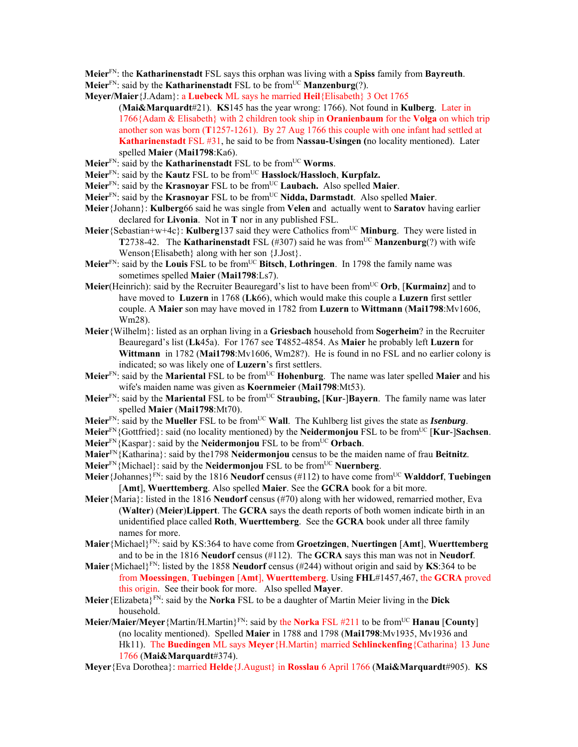- **Meier**FN: the **Katharinenstadt** FSL says this orphan was living with a **Spiss** family from **Bayreuth**.
- **Meier**<sup>FN</sup>: said by the **Katharinenstadt** FSL to be from<sup>UC</sup> **Manzenburg**(?).
- **Meyer/Maier**{J.Adam}: a **Luebeck** ML says he married **Heil**{Elisabeth} 3 Oct 1765
	- (**Mai&Marquardt**#21). **KS**145 has the year wrong: 1766). Not found in **Kulberg**. Later in 1766{Adam & Elisabeth} with 2 children took ship in **Oranienbaum** for the **Volga** on which trip another son was born (**T**1257-1261). By 27 Aug 1766 this couple with one infant had settled at **Katharinenstadt** FSL #31, he said to be from **Nassau-Usingen (**no locality mentioned). Later spelled **Maier** (**Mai1798**:Ka6).
- **Meier**<sup>FN</sup>: said by the **Katharinenstadt** FSL to be from<sup>UC</sup> **Worms**.
- **Meier**FN: said by the **Kautz** FSL to be fromUC **Hasslock/Hassloch**, **Kurpfalz.**
- **Meier**FN: said by the **Krasnoyar** FSL to be fromUC **Laubach.** Also spelled **Maier**.
- **Meier**FN: said by the **Krasnoyar** FSL to be fromUC **Nidda, Darmstadt**. Also spelled **Maier**.
- **Meier**{Johann}: **Kulberg**66 said he was single from **Velen** and actually went to **Saratov** having earlier declared for **Livonia**. Not in **T** nor in any published FSL.
- **Meier**{Sebastian+w+4c}: **Kulberg**137 said they were Catholics fromUC **Minburg**. They were listed in **T2738-42.** The **Katharinenstadt** FSL  $(\#307)$  said he was from<sup>UC</sup> **Manzenburg**(?) with wife Wenson{Elisabeth} along with her son {J.Jost}.
- Meier<sup>FN</sup>: said by the Louis FSL to be from<sup>UC</sup> Bitsch, Lothringen. In 1798 the family name was sometimes spelled **Maier** (**Mai1798**:Ls7).
- **Meier**(Heinrich): said by the Recruiter Beauregard's list to have been fromUC **Orb**, [**Kurmainz**] and to have moved to **Luzern** in 1768 (**Lk**66), which would make this couple a **Luzern** first settler couple. A **Maier** son may have moved in 1782 from **Luzern** to **Wittmann** (**Mai1798**:Mv1606, Wm28).
- **Meier**{Wilhelm}: listed as an orphan living in a **Griesbach** household from **Sogerheim**? in the Recruiter Beauregard's list (**Lk**45a). For 1767 see **T**4852-4854. As **Maier** he probably left **Luzern** for **Wittmann** in 1782 (**Mai1798**:Mv1606, Wm28?). He is found in no FSL and no earlier colony is indicated; so was likely one of **Luzern**'s first settlers.
- **Meier**FN: said by the **Mariental** FSL to be fromUC **Hohenburg**. The name was later spelled **Maier** and his wife's maiden name was given as **Koernmeier** (**Mai1798**:Mt53).
- **Meier**FN: said by the **Mariental** FSL to be fromUC **Straubing,** [**Kur**-]**Bayern**. The family name was later spelled **Maier** (**Mai1798**:Mt70).
- **Meier**<sup>FN</sup>: said by the **Mueller** FSL to be from<sup>UC</sup> **Wall**. The Kuhlberg list gives the state as *Isenburg*.
- **Meier**FN{Gottfried}: said (no locality mentioned) by the **Neidermonjou** FSL to be fromUC [**Kur**-]**Sachsen**. **Meier**FN{Kaspar}: said by the **Neidermonjou** FSL to be fromUC **Orbach**.
- **Maier**FN{Katharina}: said by the1798 **Neidermonjou** census to be the maiden name of frau **Beitnitz**.
- **Meier**FN{Michael}: said by the **Neidermonjou** FSL to be fromUC **Nuernberg**.
- **Meier**{Johannes}FN: said by the 1816 **Neudorf** census (#112) to have come fromUC **Walddorf**, **Tuebingen** [**Amt**], **Wuerttemberg**. Also spelled **Maier**. See the **GCRA** book for a bit more.
- **Meier**{Maria}: listed in the 1816 **Neudorf** census (#70) along with her widowed, remarried mother, Eva (**Walter**) (**Meier**)**Lippert**. The **GCRA** says the death reports of both women indicate birth in an unidentified place called **Roth**, **Wuerttemberg**. See the **GCRA** book under all three family names for more.
- **Maier**{Michael}FN: said by KS:364 to have come from **Groetzingen**, **Nuertingen** [**Amt**], **Wuerttemberg** and to be in the 1816 **Neudorf** census (#112). The **GCRA** says this man was not in **Neudorf**.
- **Maier**{Michael}<sup>FN</sup>: listed by the 1858 **Neudorf** census (#244) without origin and said by **KS**:364 to be from **Moessingen**, **Tuebingen** [**Amt**], **Wuerttemberg**. Using **FHL**#1457,467, the **GCRA** proved this origin. See their book for more. Also spelled **Mayer**.
- **Meier**{Elizabeta}FN: said by the **Norka** FSL to be a daughter of Martin Meier living in the **Dick** household.
- **Meier/Maier/Meyer**{Martin/H.Martin}FN: said by the **Norka** FSL #211 to be fromUC **Hanau** [**County**] (no locality mentioned). Spelled **Maier** in 1788 and 1798 (**Mai1798**:Mv1935, Mv1936 and Hk11). The **Buedingen** ML says **Meyer**{H.Martin} married **Schlinckenfing**{Catharina} 13 June 1766 (**Mai&Marquardt**#374).
- **Meyer**{Eva Dorothea}: married **Helde**{J.August} in **Rosslau** 6 April 1766 (**Mai&Marquardt**#905). **KS**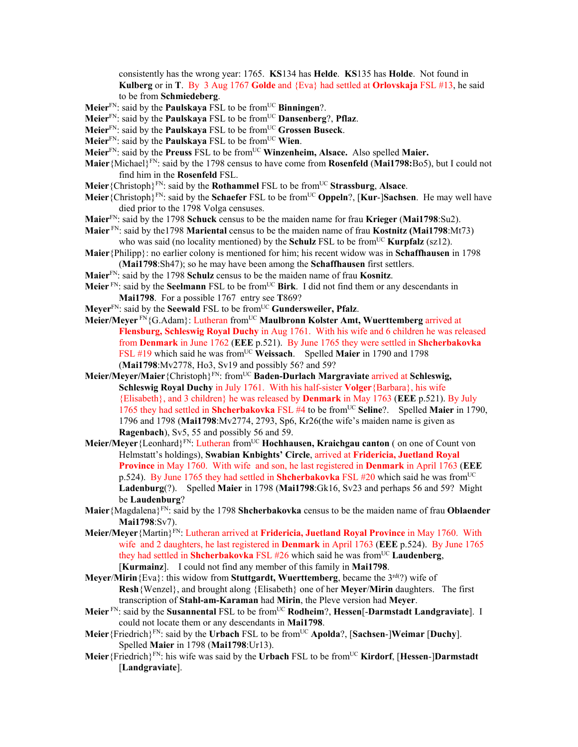consistently has the wrong year: 1765. **KS**134 has **Helde**. **KS**135 has **Holde**. Not found in **Kulberg** or in **T**. By 3 Aug 1767 **Golde** and {Eva} had settled at **Orlovskaja** FSL #13, he said to be from **Schmiedeberg**.

**Meier**<sup>FN</sup>: said by the **Paulskaya** FSL to be from<sup>UC</sup> **Binningen**?.

- **Meier**FN: said by the **Paulskaya** FSL to be fromUC **Dansenberg**?, **Pflaz**.
- **Meier**FN: said by the **Paulskaya** FSL to be fromUC **Grossen Buseck**.
- Meier<sup>FN</sup>: said by the **Paulskaya** FSL to be from<sup>UC</sup> Wien.
- **Meier**FN: said by the **Preuss** FSL to be fromUC **Winzenheim, Alsace.** Also spelled **Maier.**
- **Maier**{Michael}FN: said by the 1798 census to have come from **Rosenfeld** (**Mai1798:**Bo5), but I could not find him in the **Rosenfeld** FSL.
- **Meier**{Christoph}FN: said by the **Rothammel** FSL to be fromUC **Strassburg**, **Alsace**.
- **Meier**{Christoph}FN: said by the **Schaefer** FSL to be fromUC **Oppeln**?, [**Kur**-]**Sachsen**. He may well have died prior to the 1798 Volga censuses.
- **Maier**FN: said by the 1798 **Schuck** census to be the maiden name for frau **Krieger** (**Mai1798**:Su2).
- **Maier** FN: said by the1798 **Mariental** census to be the maiden name of frau **Kostnitz (Mai1798**:Mt73) who was said (no locality mentioned) by the **Schulz** FSL to be from<sup>UC</sup> **Kurpfalz** (sz12).
- **Maier**{Philipp}: no earlier colony is mentioned for him; his recent widow was in **Schaffhausen** in 1798 (**Mai1798**:Sh47); so he may have been among the **Schaffhausen** first settlers.
- **Maier**FN: said by the 1798 **Schulz** census to be the maiden name of frau **Kosnitz**.
- **Meier** FN: said by the **Seelmann** FSL to be fromUC **Birk**. I did not find them or any descendants in **Mai1798**. For a possible 1767 entry see **T**869?
- **Meyer**FN: said by the **Seewald** FSL to be fromUC **Gundersweiler, Pfalz**.
- **Meier/Meyer** FN{G.Adam}: Lutheran fromUC **Maulbronn Kolster Amt, Wuerttemberg** arrived at **Flensburg, Schleswig Royal Duchy** in Aug 1761. With his wife and 6 children he was released from **Denmark** in June 1762 (**EEE** p.521). By June 1765 they were settled in **Shcherbakovka** FSL #19 which said he was from<sup>UC</sup> Weissach. Spelled Maier in 1790 and 1798 (**Mai1798**:Mv2778, Ho3, Sv19 and possibly 56? and 59?
- **Meier/Meyer/Maier**{Christoph}FN: fromUC **Baden-Durlach Margraviate** arrived at **Schleswig, Schleswig Royal Duchy** in July 1761. With his half-sister **Volger**{Barbara}, his wife {Elisabeth}, and 3 children} he was released by **Denmark** in May 1763 (**EEE** p.521). By July 1765 they had settled in **Shcherbakovka** FSL #4 to be fromUC **Seline**?. Spelled **Maier** in 1790, 1796 and 1798 (**Mai1798**:Mv2774, 2793, Sp6, Kr26(the wife's maiden name is given as **Ragenbach**), Sv5, 55 and possibly 56 and 59.
- Meier/Meyer {Leonhard}<sup>FN</sup>: Lutheran from<sup>UC</sup> **Hochhausen, Kraichgau canton** (on one of Count von Helmstatt's holdings), **Swabian Knbights' Circle**, arrived at **Fridericia, Juetland Royal Province** in May 1760. With wife and son, he last registered in **Denmark** in April 1763 (**EEE** p.524). By June 1765 they had settled in **Shcherbakovka** FSL #20 which said he was from<sup>UC</sup> **Ladenburg**(?). Spelled **Maier** in 1798 (**Mai1798**:Gk16, Sv23 and perhaps 56 and 59? Might be **Laudenburg**?
- **Maier**{Magdalena}FN: said by the 1798 **Shcherbakovka** census to be the maiden name of frau **Oblaender Mai1798**:Sv7).
- **Meier/Meyer**{Martin}FN: Lutheran arrived at **Fridericia, Juetland Royal Province** in May 1760. With wife and 2 daughters, he last registered in **Denmark** in April 1763 (**EEE** p.524). By June 1765 they had settled in **Shcherbakovka** FSL #26 which said he was from<sup>UC</sup> Laudenberg, [**Kurmainz**]. I could not find any member of this family in **Mai1798**.
- **Meyer/Mirin**{Eva}: this widow from **Stuttgardt, Wuerttemberg**, became the 3<sup>rd(?)</sup> wife of **Resh**{Wenzel}, and brought along {Elisabeth} one of her **Meyer**/**Mirin** daughters. The first transcription of **Stahl-am-Karaman** had **Mirin**, the Pleve version had **Meyer**.
- **Meier** FN: said by the **Susannental** FSL to be fromUC **Rodheim**?, **Hessen**[-**Darmstadt Landgraviate**]. I could not locate them or any descendants in **Mai1798**.
- **Meier**{Friedrich}FN: said by the **Urbach** FSL to be fromUC **Apolda**?, [**Sachsen**-]**Weimar** [**Duchy**]. Spelled **Maier** in 1798 (**Mai1798**:Ur13).
- **Meier**{Friedrich}FN: his wife was said by the **Urbach** FSL to be fromUC **Kirdorf**, [**Hessen**-]**Darmstadt** [**Landgraviate**].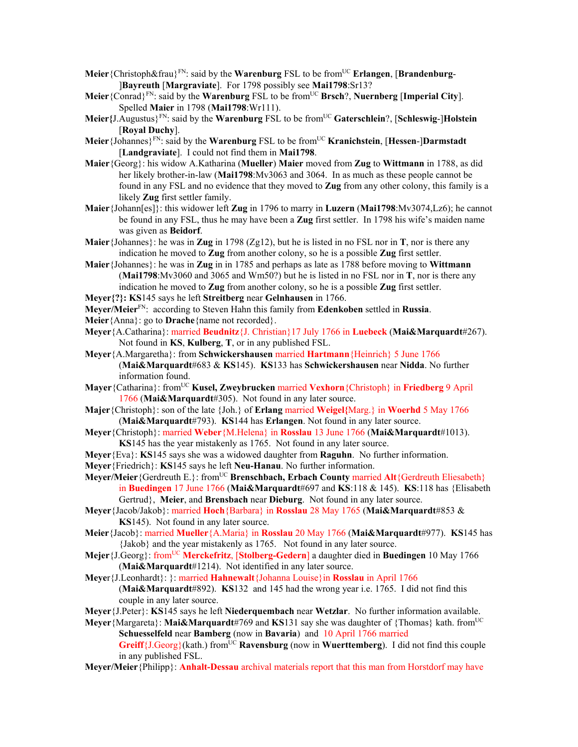- Meier<sup>{Christoph&frau}<sup>FN</sup>: said by the Warenburg FSL to be from<sup>UC</sup> **Erlangen**, [Brandenburg-</sup> ]**Bayreuth** [**Margraviate**]. For 1798 possibly see **Mai1798**:Sr13?
- **Meier**{Conrad}FN: said by the **Warenburg** FSL to be fromUC **Brsch**?, **Nuernberg** [**Imperial City**]. Spelled **Maier** in 1798 (**Mai1798**:Wr111).
- **Meier{**J.Augustus}FN: said by the **Warenburg** FSL to be fromUC **Gaterschlein**?, [**Schleswig**-]**Holstein** [**Royal Duchy**].
- **Meier**{Johannes}FN: said by the **Warenburg** FSL to be fromUC **Kranichstein**, [**Hessen**-]**Darmstadt** [**Landgraviate**]. I could not find them in **Mai1798**.
- **Maier**{Georg}: his widow A.Katharina (**Mueller**) **Maier** moved from **Zug** to **Wittmann** in 1788, as did her likely brother-in-law (**Mai1798**:Mv3063 and 3064. In as much as these people cannot be found in any FSL and no evidence that they moved to **Zug** from any other colony, this family is a likely **Zug** first settler family.
- **Maier**{Johann[es]}: this widower left **Zug** in 1796 to marry in **Luzern** (**Mai1798**:Mv3074,Lz6); he cannot be found in any FSL, thus he may have been a **Zug** first settler. In 1798 his wife's maiden name was given as **Beidorf**.
- **Maier**{Johannes}: he was in **Zug** in 1798 (Zg12), but he is listed in no FSL nor in **T**, nor is there any indication he moved to **Zug** from another colony, so he is a possible **Zug** first settler.
- **Maier**{Johannes}: he was in **Zug** in in 1785 and perhaps as late as 1788 before moving to **Wittmann** (**Mai1798**:Mv3060 and 3065 and Wm50?) but he is listed in no FSL nor in **T**, nor is there any indication he moved to **Zug** from another colony, so he is a possible **Zug** first settler.
- **Meyer{?}: KS**145 says he left **Streitberg** near **Gelnhausen** in 1766.
- **Meyer/Meier**FN: according to Steven Hahn this family from **Edenkoben** settled in **Russia**.
- **Meier**{Anna}: go to **Drache**{name not recorded}.
- **Meyer**{A.Catharina}: married **Beudnitz**{J. Christian}17 July 1766 in **Luebeck** (**Mai&Marquardt**#267). Not found in **KS**, **Kulberg**, **T**, or in any published FSL.
- **Meyer**{A.Margaretha}: from **Schwickershausen** married **Hartmann**{Heinrich} 5 June 1766 (**Mai&Marquardt**#683 & **KS**145). **KS**133 has **Schwickershausen** near **Nidda**. No further information found.
- **Mayer**{Catharina}: fromUC **Kusel, Zweybrucken** married **Vexhorn**{Christoph} in **Friedberg** 9 April 1766 (**Mai&Marquardt**#305). Not found in any later source.
- **Majer**{Christoph}: son of the late {Joh.} of **Erlang** married **Weigel{**Marg.} in **Woerhd** 5 May 1766 (**Mai&Marquardt**#793). **KS**144 has **Erlangen**. Not found in any later source.
- **Meyer**{Christoph}: married **Weber**{M.Helena} in **Rosslau** 13 June 1766 (**Mai&Marquardt**#1013). **KS**145 has the year mistakenly as 1765. Not found in any later source.
- **Meyer**{Eva}: **KS**145 says she was a widowed daughter from **Raguhn**. No further information.
- **Meyer**{Friedrich}: **KS**145 says he left **Neu-Hanau**. No further information.
- **Meyer/Meier** {Gerdreuth E.}: from<sup>UC</sup> **Brenschbach, Erbach County married Alt** {Gerdreuth Eliesabeth} in **Buedingen** 17 June 1766 (**Mai&Marquardt**#697 and **KS**:118 & 145). **KS**:118 has {Elisabeth Gertrud}, **Meier**, and **Brensbach** near **Dieburg**. Not found in any later source.
- **Meyer**{Jacob/Jakob}: married **Hoch**{Barbara} in **Rosslau** 28 May 1765 (**Mai&Marquardt**#853 & **KS**145). Not found in any later source.
- **Meier**{Jacob}: married **Mueller**{A.Maria} in **Rosslau** 20 May 1766 (**Mai&Marquardt**#977). **KS**145 has {Jakob} and the year mistakenly as 1765. Not found in any later source.
- **Mejer**{J.Georg}: fromUC **Merckefritz**, [**Stolberg-Gedern**] a daughter died in **Buedingen** 10 May 1766 (**Mai&Marquardt**#1214). Not identified in any later source.
- **Meye**r{J.Leonhardt}: }: married **Hahnewalt**{Johanna Louise}in **Rosslau** in April 1766 (**Mai&Marquardt**#892). **KS**132 and 145 had the wrong year i.e. 1765. I did not find this couple in any later source.
- **Meyer**{J.Peter}: **KS**145 says he left **Niederquembach** near **Wetzlar**. No further information available.
- Meyer {Margareta}: Mai&Marquardt#769 and KS131 say she was daughter of {Thomas} kath. from<sup>UC</sup> **Schuesselfeld** near **Bamberg** (now in **Bavaria**) and 10 April 1766 married **Greiff**{J.Georg}(kath.) fromUC **Ravensburg** (now in **Wuerttemberg**). I did not find this couple in any published FSL.
- **Meyer/Meier**{Philipp}: **Anhalt-Dessau** archival materials report that this man from Horstdorf may have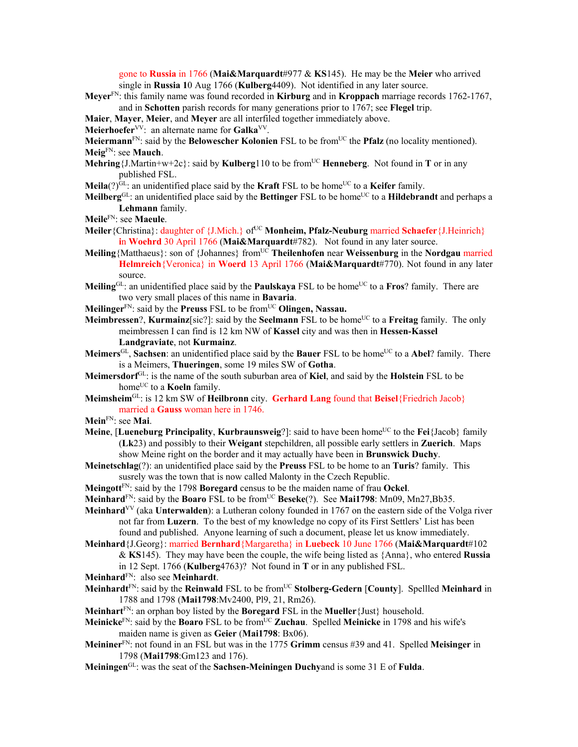gone to **Russia** in 1766 (**Mai&Marquardt**#977 & **KS**145). He may be the **Meier** who arrived single in **Russia 1**0 Aug 1766 (**Kulberg**4409). Not identified in any later source.

- **Meyer**FN: this family name was found recorded in **Kirburg** and in **Kroppach** marriage records 1762-1767, and in **Schotten** parish records for many generations prior to 1767; see **Flegel** trip.
- **Maier**, **Mayer**, **Meier**, and **Meyer** are all interfiled together immediately above.
- Meierhoefer<sup>VV</sup>: an alternate name for Galka<sup>VV</sup>.
- **Meiermann**<sup>FN</sup>: said by the **Belowescher Kolonien** FSL to be from<sup>UC</sup> the **Pfalz** (no locality mentioned). **Meig**FN: see **Mauch**.
- **Mehring**{J.Martin+w+2c}: said by **Kulberg**110 to be from<sup>UC</sup> **Henneberg**. Not found in **T** or in any published FSL.
- **Meila**(?)<sup>GL</sup>: an unidentified place said by the **Kraft** FSL to be home<sup>UC</sup> to a **Keifer** family.

**Meilberg**<sup>GL</sup>: an unidentified place said by the **Bettinger** FSL to be home<sup>UC</sup> to a **Hildebrandt** and perhaps a **Lehmann** family.

- **Meile**FN: see **Maeule**.
- **Meiler** {Christina}: daughter of {J.Mich.} of<sup>UC</sup> **Monheim, Pfalz-Neuburg** married **Schaefer** {J.Heinrich} **i**n **Woehrd** 30 April 1766 (**Mai&Marquardt**#782). Not found in any later source.
- **Meiling**{Matthaeus}: son of {Johannes} fromUC **Theilenhofen** near **Weissenburg** in the **Nordgau** married **Helmreich**{Veronica} in **Woerd** 13 April 1766 (**Mai&Marquardt**#770). Not found in any later source.
- **Meiling**<sup>GL</sup>: an unidentified place said by the **Paulskaya** FSL to be home<sup>UC</sup> to a **Fros**? family. There are two very small places of this name in **Bavaria**.
- **Meilinger**<sup>FN</sup>: said by the **Preuss** FSL to be from<sup>UC</sup> **Olingen, Nassau.**

**Meimbressen?, Kurmainz**[sic?]: said by the **Seelmann** FSL to be home<sup>UC</sup> to a **Freitag** family. The only meimbressen I can find is 12 km NW of **Kassel** city and was then in **Hessen-Kassel Landgraviate**, not **Kurmainz**.

**Meimers**<sup>GL</sup>, Sachsen: an unidentified place said by the **Bauer** FSL to be home<sup>UC</sup> to a **Abel**? family. There is a Meimers, **Thueringen**, some 19 miles SW of **Gotha**.

- **Meimersdorf**GL: is the name of the south suburban area of **Kiel**, and said by the **Holstein** FSL to be home<sup>UC</sup> to a **Koeln** family.
- **Meimsheim**GL: is 12 km SW of **Heilbronn** city. **Gerhard Lang** found that **Beisel**{Friedrich Jacob} married a **Gauss** woman here in 1746.
- **Mein**FN: see **Mai**.
- **Meine, [Lueneburg Principality, Kurbraunsweig?]:** said to have been home<sup>UC</sup> to the **Fei**{Jacob} family (**Lk**23) and possibly to their **Weigant** stepchildren, all possible early settlers in **Zuerich**. Maps show Meine right on the border and it may actually have been in **Brunswick Duchy**.
- **Meinetschlag**(?): an unidentified place said by the **Preuss** FSL to be home to an **Turis**? family. This susrely was the town that is now called Malonty in the Czech Republic.
- **Meingott**FN: said by the 1798 **Boregard** census to be the maiden name of frau **Ockel**.
- **Meinhard**FN: said by the **Boaro** FSL to be fromUC **Beseke**(?). See **Mai1798**: Mn09, Mn27,Bb35.
- **Meinhard**VV (aka **Unterwalden**): a Lutheran colony founded in 1767 on the eastern side of the Volga river not far from **Luzern**. To the best of my knowledge no copy of its First Settlers' List has been found and published. Anyone learning of such a document, please let us know immediately.
- **Meinhard**{J.Georg}: married **Bernhard**{Margaretha} in **Luebeck** 10 June 1766 (**Mai&Marquardt**#102 & **KS**145). They may have been the couple, the wife being listed as {Anna}, who entered **Russia**
	- in 12 Sept. 1766 (**Kulberg**4763)? Not found in **T** or in any published FSL.
- **Meinhard**FN: also see **Meinhardt**.
- **Meinhardt**<sup>FN</sup>: said by the **Reinwald** FSL to be from<sup>UC</sup> **Stolberg-Gedern** [County]. Spellled Meinhard in 1788 and 1798 (**Mai1798**:Mv2400, Pl9, 21, Rm26).
- **Meinhart**FN: an orphan boy listed by the **Boregard** FSL in the **Mueller**{Just} household.
- **Meinicke**<sup>FN</sup>: said by the **Boaro** FSL to be from<sup>UC</sup> **Zuchau**. Spelled **Meinicke** in 1798 and his wife's maiden name is given as **Geier** (**Mai1798**: Bx06).
- **Meininer**FN: not found in an FSL but was in the 1775 **Grimm** census #39 and 41. Spelled **Meisinger** in 1798 (**Mai1798**:Gm123 and 176).
- **Meiningen**GL: was the seat of the **Sachsen-Meiningen Duchy**and is some 31 E of **Fulda**.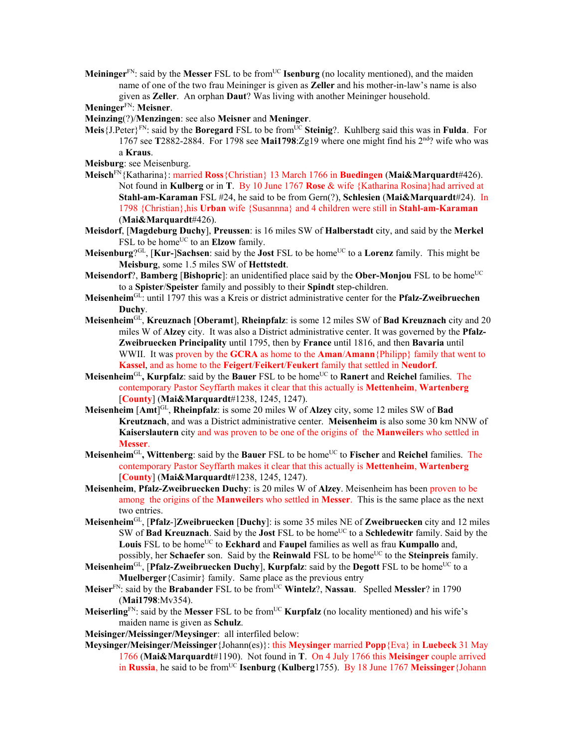**Meininger**<sup>FN</sup>: said by the **Messer** FSL to be from<sup>UC</sup> **Isenburg** (no locality mentioned), and the maiden name of one of the two frau Meininger is given as **Zeller** and his mother-in-law's name is also given as **Zeller**. An orphan **Daut**? Was living with another Meininger household.

**Meninger**FN: **Meisner**.

**Meinzing**(?)/**Menzingen**: see also **Meisner** and **Meninger**.

- Meis {J.Peter}<sup>FN</sup>: said by the **Boregard** FSL to be from<sup>UC</sup> Steinig?. Kuhlberg said this was in **Fulda**. For 1767 see **T**2882-2884. For 1798 see **Mai1798**:Zg19 where one might find his 2nd? wife who was a **Kraus**.
- **Meisburg**: see Meisenburg.
- **Meisch**FN{Katharina}: married **Ross**{Christian} 13 March 1766 in **Buedingen** (**Mai&Marquardt**#426). Not found in **Kulberg** or in **T**. By 10 June 1767 **Rose** & wife {Katharina Rosina}had arrived at **Stahl-am-Karaman** FSL #24, he said to be from Gern(?), **Schlesien** (**Mai&Marquardt**#24). In 1798 {Christian},his **Urban** wife {Susannna} and 4 children were still in **Stahl-am-Karaman**  (**Mai&Marquardt**#426).
- **Meisdorf**, [**Magdeburg Duchy**], **Preussen**: is 16 miles SW of **Halberstadt** city, and said by the **Merkel** FSL to be home<sup>UC</sup> to an **Elzow** family.
- **Meisenburg**?GL, [**Kur-**]**Sachsen**: said by the **Jost** FSL to be homeUC to a **Lorenz** family. This might be **Meisburg**, some 1.5 miles SW of **Hettstedt**.
- **Meisendorf?, Bamberg [Bishopric]:** an unidentified place said by the **Ober-Monjou** FSL to be home<sup>UC</sup> to a **Spister**/**Speister** family and possibly to their **Spindt** step-children.
- **Meisenheim**GL: until 1797 this was a Kreis or district administrative center for the **Pfalz-Zweibruechen Duchy**.
- **Meisenheim**GL, **Kreuznach** [**Oberamt**], **Rheinpfalz**: is some 12 miles SW of **Bad Kreuznach** city and 20 miles W of **Alzey** city. It was also a District administrative center. It was governed by the **Pfalz-Zweibruecken Principality** until 1795, then by **France** until 1816, and then **Bavaria** until WWII. It was proven by the **GCRA** as home to the **Aman**/**Amann**{Philipp} family that went to **Kassel**, and as home to the **Feigert**/**Feikert**/**Feukert** family that settled in **Neudorf**.
- **Meisenheim**GL**, Kurpfalz**: said by the **Bauer** FSL to be homeUC to **Ranert** and **Reichel** families. The contemporary Pastor Seyffarth makes it clear that this actually is **Mettenheim**, **Wartenberg** [**County**] (**Mai&Marquardt**#1238, 1245, 1247).
- **Meisenheim** [**Amt**] GL, **Rheinpfalz**: is some 20 miles W of **Alzey** city, some 12 miles SW of **Bad Kreutznach**, and was a District administrative center. **Meisenheim** is also some 30 km NNW of **Kaiserslautern** city and was proven to be one of the origins of the **Manweiler**s who settled in **Messer**.
- **Meisenheim**GL**, Wittenberg**: said by the **Bauer** FSL to be homeUC to **Fischer** and **Reichel** families. The contemporary Pastor Seyffarth makes it clear that this actually is **Mettenheim**, **Wartenberg** [**County**] (**Mai&Marquardt**#1238, 1245, 1247).
- **Meisenheim**, **Pfalz-Zweibruecken Duchy**: is 20 miles W of **Alzey**. Meisenheim has been proven to be among the origins of the **Manweiler**s who settled in **Messer**. This is the same place as the next two entries.
- **Meisenheim**GL, [**Pfalz**-]**Zweibruecken** [**Duchy**]: is some 35 miles NE of **Zweibruecken** city and 12 miles SW of **Bad Kreuznach**. Said by the **Jost** FSL to be homeUC to a **Schledewitr** family. Said by the Louis FSL to be home<sup>UC</sup> to **Eckhard** and **Faupel** families as well as frau **Kumpallo** and, possibly, her **Schaefer** son. Said by the **Reinwald** FSL to be home<sup>UC</sup> to the **Steinpreis** family.
- **Meisenheim**<sup>GL</sup>, [Pfalz-Zweibruecken Duchy], **Kurpfalz**: said by the Degott FSL to be home<sup>UC</sup> to a **Muelberger**{Casimir} family. Same place as the previous entry
- **Meiser**FN: said by the **Brabander** FSL to be fromUC **Wintelz**?, **Nassau**. Spelled **Messler**? in 1790 (**Mai1798**:Mv354).
- **Meiserling**<sup>FN</sup>: said by the **Messer** FSL to be from<sup>UC</sup> **Kurpfalz** (no locality mentioned) and his wife's maiden name is given as **Schulz**.

**Meisinger/Meissinger/Meysinger**: all interfiled below:

**Meysinger/Meisinger/Meissinger**{Johann(es)}: this **Meysinger** married **Popp**{Eva} in **Luebeck** 31 May 1766 (**Mai&Marquardt**#1190). Not found in **T**. On 4 July 1766 this **Meisinger** couple arrived in **Russia**, he said to be from<sup>UC</sup> **Isenburg** (Kulberg1755). By 18 June 1767 Meissinger {Johann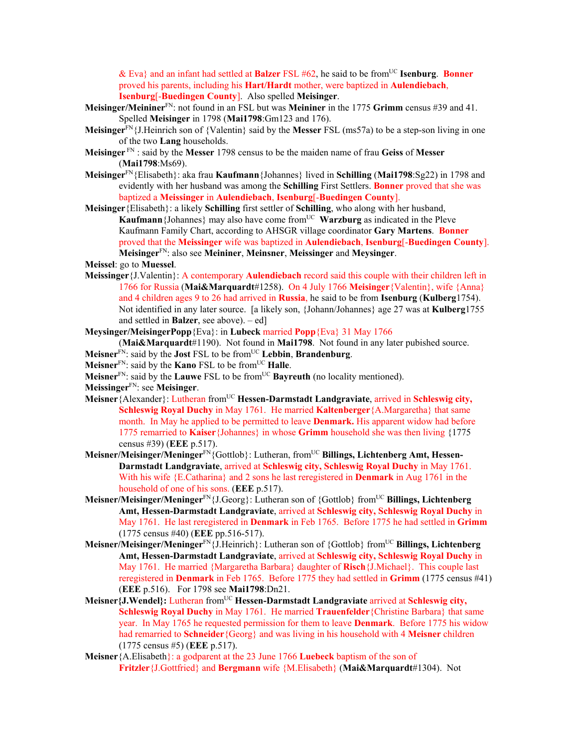& Eva} and an infant had settled at **Balzer** FSL #62, he said to be fromUC **Isenburg**. **Bonner** proved his parents, including his **Hart/Hardt** mother, were baptized in **Aulendiebach**, **Isenburg**[-**Buedingen County**]. Also spelled **Meisinger**.

- **Meisinger/Meininer**FN: not found in an FSL but was **Meininer** in the 1775 **Grimm** census #39 and 41. Spelled **Meisinger** in 1798 (**Mai1798**:Gm123 and 176).
- **Meisinger**FN{J.Heinrich son of {Valentin} said by the **Messer** FSL (ms57a) to be a step-son living in one of the two **Lang** households.
- **Meisinger** FN : said by the **Messer** 1798 census to be the maiden name of frau **Geiss** of **Messer** (**Mai1798**:Ms69).
- **Meisinger**FN{Elisabeth}: aka frau **Kaufmann**{Johannes} lived in **Schilling** (**Mai1798**:Sg22) in 1798 and evidently with her husband was among the **Schilling** First Settlers. **Bonner** proved that she was baptized a **Meissinger** in **Aulendiebach**, **Isenburg**[-**Buedingen County**].

**Meisinger**{Elisabeth}: a likely **Schilling** first settler of **Schilling**, who along with her husband, **Kaufmann**{Johannes} may also have come fromUC **Warzburg** as indicated in the Pleve Kaufmann Family Chart, according to AHSGR village coordinator **Gary Martens**. **Bonner** proved that the **Meissinger** wife was baptized in **Aulendiebach**, **Isenburg**[-**Buedingen County**]. **Meisinger**FN: also see **Meininer**, **Meinsner**, **Meissinger** and **Meysinger**.

**Meissel**: go to **Muessel**.

- **Meissinger**{J.Valentin}: A contemporary **Aulendiebach** record said this couple with their children left in 1766 for Russia (**Mai&Marquardt**#1258). On 4 July 1766 **Meisinger**{Valentin}, wife {Anna} and 4 children ages 9 to 26 had arrived in **Russia**, he said to be from **Isenburg** (**Kulberg**1754). Not identified in any later source. [a likely son, {Johann/Johannes} age 27 was at **Kulberg**1755 and settled in **Balzer**, see above). – ed]
- **Meysinger/MeisingerPopp**{Eva}: in **Lubeck** married **Popp**{Eva} 31 May 1766
- (**Mai&Marquardt**#1190). Not found in **Mai1798**. Not found in any later pubished source. **Meisner**FN: said by the **Jost** FSL to be fromUC **Lebbin**, **Brandenburg**.
- **Meisner**FN: said by the **Kano** FSL to be fromUC **Halle**.
- **Meisner**<sup>FN</sup>: said by the **Lauwe** FSL to be from<sup>UC</sup> **Bayreuth** (no locality mentioned).

**Meissinger**FN: see **Meisinger**.

- **Meisner**{Alexander}: Lutheran from<sup>UC</sup> **Hessen-Darmstadt Landgraviate**, arrived in **Schleswig city**, **Schleswig Royal Duchy** in May 1761. He married **Kaltenberger**{A.Margaretha} that same month. In May he applied to be permitted to leave **Denmark.** His apparent widow had before 1775 remarried to **Kaiser**{Johannes} in whose **Grimm** household she was then living {1775 census #39) (**EEE** p.517).
- **Meisner/Meisinger/Meninger**FN{Gottlob}: Lutheran, fromUC **Billings, Lichtenberg Amt, Hessen-Darmstadt Landgraviate**, arrived at **Schleswig city, Schleswig Royal Duchy** in May 1761. With his wife {E.Catharina} and 2 sons he last reregistered in **Denmark** in Aug 1761 in the household of one of his sons. (**EEE** p.517).
- **Meisner/Meisinger/Meninger**FN{J.Georg}: Lutheran son of {Gottlob} fromUC **Billings, Lichtenberg Amt, Hessen-Darmstadt Landgraviate**, arrived at **Schleswig city, Schleswig Royal Duchy** in May 1761. He last reregistered in **Denmark** in Feb 1765. Before 1775 he had settled in **Grimm** (1775 census #40) (**EEE** pp.516-517).
- **Meisner/Meisinger/Meninger**FN{J.Heinrich}: Lutheran son of {Gottlob} fromUC **Billings, Lichtenberg Amt, Hessen-Darmstadt Landgraviate**, arrived at **Schleswig city, Schleswig Royal Duchy** in May 1761. He married {Margaretha Barbara} daughter of **Risch**{J.Michael}. This couple last reregistered in **Denmark** in Feb 1765. Before 1775 they had settled in **Grimm** (1775 census #41) (**EEE** p.516). For 1798 see **Mai1798**:Dn21.
- Meisner{J.Wendel}: Lutheran from<sup>UC</sup> Hessen-Darmstadt Landgraviate arrived at Schleswig city. **Schleswig Royal Duchy** in May 1761. He married **Trauenfelder**{Christine Barbara} that same year. In May 1765 he requested permission for them to leave **Denmark**. Before 1775 his widow had remarried to **Schneider**{Georg} and was living in his household with 4 **Meisner** children (1775 census #5) (**EEE** p.517).
- **Meisner**{A.Elisabeth}: a godparent at the 23 June 1766 **Luebeck** baptism of the son of **Fritzler**{J.Gottfried} and **Bergmann** wife {M.Elisabeth} (**Mai&Marquardt**#1304). Not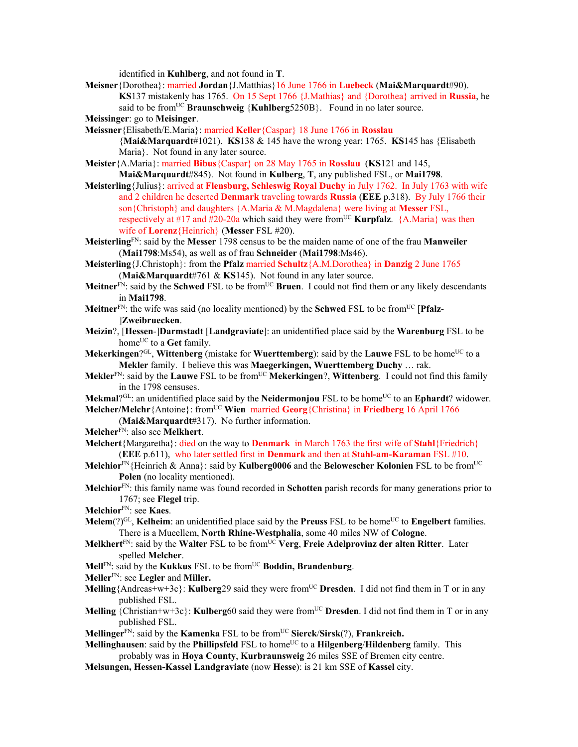identified in **Kuhlberg**, and not found in **T**.

**Meisner**{Dorothea}: married **Jordan**{J.Matthias}16 June 1766 in **Luebeck** (**Mai&Marquardt**#90). **KS**137 mistakenly has 1765. On 15 Sept 1766 {J.Mathias} and {Dorothea} arrived in **Russia**, he said to be from<sup>UC</sup> **Braunschweig** {**Kuhlberg**5250B}. Found in no later source.

**Meissinger**: go to **Meisinger**.

**Meissner**{Elisabeth/E.Maria}: married **Keller**{Caspar} 18 June 1766 in **Rosslau**  {**Mai&Marquardt**#1021). **KS**138 & 145 have the wrong year: 1765. **KS**145 has {Elisabeth Maria}. Not found in any later source.

**Meister**{A.Maria}: married **Bibus**{Caspar} on 28 May 1765 in **Rosslau** (**KS**121 and 145,

**Mai&Marquardt**#845). Not found in **Kulberg**, **T**, any published FSL, or **Mai1798**.

- **Meisterling**{Julius}: arrived at **Flensburg, Schleswig Royal Duchy** in July 1762. In July 1763 with wife and 2 children he deserted **Denmark** traveling towards **Russia** (**EEE** p.318). By July 1766 their son{Christoph} and daughters {A.Maria & M.Magdalena} were living at **Messer** FSL, respectively at #17 and #20-20a which said they were from<sup>UC</sup> **Kurpfalz**.  $\{A.Maria\}$  was then wife of **Lorenz**{Heinrich} (**Messer** FSL #20).
- **Meisterling**FN: said by the **Messer** 1798 census to be the maiden name of one of the frau **Manweiler** (**Mai1798**:Ms54), as well as of frau **Schneider** (**Mai1798**:Ms46).
- **Meisterling**{J.Christoph}: from the **Pfalz** married **Schultz**{A.M.Dorothea} in **Danzig** 2 June 1765 (**Mai&Marquardt**#761 & **KS**145). Not found in any later source.
- **Meitner**<sup>FN</sup>: said by the **Schwed** FSL to be from<sup>UC</sup> **Bruen**. I could not find them or any likely descendants in **Mai1798**.
- **Meitner**FN: the wife was said (no locality mentioned) by the **Schwed** FSL to be fromUC [**Pfalz** ]**Zweibruecken**.
- **Meizin**?, [**Hessen**-]**Darmstadt** [**Landgraviate**]: an unidentified place said by the **Warenburg** FSL to be home<sup>UC</sup> to a Get family.
- **Mekerkingen**?<sup>GL</sup>, **Wittenberg** (mistake for **Wuerttemberg**): said by the **Lauwe** FSL to be home<sup>UC</sup> to a **Mekler** family. I believe this was **Maegerkingen, Wuerttemberg Duchy** … rak.
- **Mekler**FN: said by the **Lauwe** FSL to be fromUC **Mekerkingen**?, **Wittenberg**. I could not find this family in the 1798 censuses.

**Mekmal**?GL: an unidentified place said by the **Neidermonjou** FSL to be home<sup>UC</sup> to an **Ephardt**? widower. **Melcher/Melchr** {Antoine}: from<sup>UC</sup> **Wien** married **Georg** {Christina} in **Friedberg** 16 April 1766

(**Mai&Marquardt**#317). No further information.

**Melcher**FN: also see **Melkhert**.

- **Melchert**{Margaretha}: died on the way to **Denmark** in March 1763 the first wife of **Stahl**{Friedrich} (**EEE** p.611), who later settled first in **Denmark** and then at **Stahl-am-Karaman** FSL #10.
- **Melchior**FN{Heinrich & Anna}: said by **Kulberg0006** and the **Belowescher Kolonien** FSL to be fromUC **Polen** (no locality mentioned).
- **Melchior**FN: this family name was found recorded in **Schotten** parish records for many generations prior to 1767; see **Flegel** trip.
- **Melchior**FN: see **Kaes**.
- **Melem**( $?$ )<sup>GL</sup>, **Kelheim**: an unidentified place said by the **Preuss** FSL to be home<sup>UC</sup> to **Engelbert** families. There is a Mueellem, **North Rhine-Westphalia**, some 40 miles NW of **Cologne**.
- **Melkhert**FN: said by the **Walter** FSL to be fromUC **Verg**, **Freie Adelprovinz der alten Ritter**. Later spelled **Melcher**.
- **Mell**<sup>FN</sup>: said by the **Kukkus** FSL to be from<sup>UC</sup> **Boddin, Brandenburg**.
- **Meller**FN: see **Legler** and **Miller.**
- **Melling**{Andreas+w+3c}: **Kulberg**29 said they were from<sup>UC</sup> Dresden. I did not find them in T or in any published FSL.
- **Melling** {Christian+w+3c}: **Kulberg**60 said they were from<sup>UC</sup> **Dresden**. I did not find them in T or in any published FSL.

**Mellinger**<sup>FN</sup>: said by the **Kamenka** FSL to be from<sup>UC</sup> **Sierck/Sirsk**(?), **Frankreich.** 

**Mellinghausen:** said by the **Phillipsfeld** FSL to home<sup>UC</sup> to a **Hilgenberg/Hildenberg** family. This probably was in **Hoya County**, **Kurbraunsweig** 26 miles SSE of Bremen city centre.

**Melsungen, Hessen-Kassel Landgraviate** (now **Hesse**): is 21 km SSE of **Kassel** city.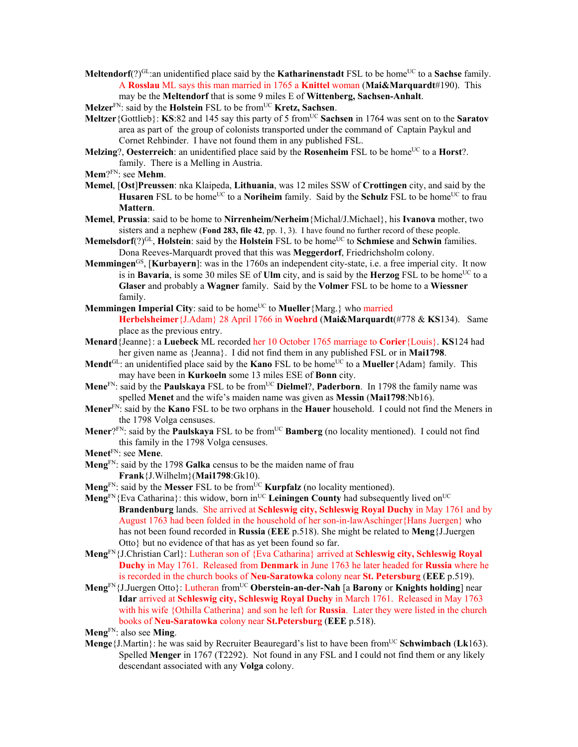**Meltendorf**(?)<sup>GL</sup>:an unidentified place said by the **Katharinenstadt** FSL to be home<sup>UC</sup> to a **Sachse** family. A **Rosslau** ML says this man married in 1765 a **Knittel** woman (**Mai&Marquardt**#190). This may be the **Meltendorf** that is some 9 miles E of **Wittenberg, Sachsen-Anhalt**.

**Melzer**<sup>FN</sup>: said by the **Holstein** FSL to be from<sup>UC</sup> **Kretz, Sachsen**.

- **Meltzer** {Gottlieb}: **KS**:82 and 145 say this party of 5 from<sup>UC</sup> **Sachsen** in 1764 was sent on to the **Saratov** area as part of the group of colonists transported under the command of Captain Paykul and Cornet Rehbinder. I have not found them in any published FSL.
- **Melzing?, Oesterreich**: an unidentified place said by the **Rosenheim** FSL to be home<sup>UC</sup> to a **Horst**?. family. There is a Melling in Austria.
- **Mem**?FN: see **Mehm**.
- **Memel**, [**Ost**]**Preussen**: nka Klaipeda, **Lithuania**, was 12 miles SSW of **Crottingen** city, and said by the **Husaren** FSL to be home<sup>UC</sup> to a **Noriheim** family. Said by the **Schulz** FSL to be home<sup>UC</sup> to frau **Mattern**.
- **Memel**, **Prussia**: said to be home to **Nirrenheim/Nerheim**{Michal/J.Michael}, his **Ivanova** mother, two sisters and a nephew (**Fond 283, file 42**, pp. 1, 3). I have found no further record of these people.
- **Memelsdorf**(?)<sup>GL</sup>, **Holstein**: said by the **Holstein** FSL to be home<sup>UC</sup> to **Schmiese** and **Schwin** families. Dona Reeves-Marquardt proved that this was **Meggerdorf**, Friedrichsholm colony.
- **Memmingen<sup>GS</sup>**, [**Kurbayern**]: was in the 1760s an independent city-state, i.e. a free imperial city. It now is in **Bavaria**, is some 30 miles SE of **Ulm** city, and is said by the **Herzog** FSL to be home<sup>UC</sup> to a **Glaser** and probably a **Wagner** family. Said by the **Volmer** FSL to be home to a **Wiessner**  family.
- **Memmingen Imperial City**: said to be home<sup>UC</sup> to **Mueller** {Marg.} who married **Herbelsheimer**{J.Adam} 28 April 1766 in **Woehrd** (**Mai&Marquardt**(#778 & **KS**134). Same place as the previous entry.
- **Menard**{Jeanne}: a **Luebeck** ML recorded her 10 October 1765 marriage to **Corier**{Louis}. **KS**124 had her given name as {Jeanna}. I did not find them in any published FSL or in **Mai1798**.
- **Mendt**<sup>GL</sup>: an unidentified place said by the **Kano** FSL to be home<sup>UC</sup> to a **Mueller** {Adam} family. This may have been in **Kurkoeln** some 13 miles ESE of **Bonn** city.
- **Mene**<sup>FN</sup>: said by the **Paulskaya** FSL to be from<sup>UC</sup> **Dielmel**?, **Paderborn**. In 1798 the family name was spelled **Menet** and the wife's maiden name was given as **Messin** (**Mai1798**:Nb16).
- **Mener**FN: said by the **Kano** FSL to be two orphans in the **Hauer** household. I could not find the Meners in the 1798 Volga censuses.
- **Mener**?FN: said by the **Paulskaya** FSL to be from<sup>UC</sup> **Bamberg** (no locality mentioned). I could not find this family in the 1798 Volga censuses.
- **Menet**FN: see **Mene**.
- **Meng**FN: said by the 1798 **Galka** census to be the maiden name of frau **Frank**{J.Wilhelm}(**Mai1798**:Gk10).
- **Meng**<sup>FN</sup>: said by the **Messer** FSL to be from<sup>UC</sup> **Kurpfalz** (no locality mentioned).
- **Meng**<sup>FN</sup>{Eva Catharina}: this widow, born in<sup>UC</sup> Leiningen County had subsequently lived on<sup>UC</sup> **Brandenburg** lands. She arrived at **Schleswig city, Schleswig Royal Duchy** in May 1761 and by August 1763 had been folded in the household of her son-in-lawAschinger{Hans Juergen} who has not been found recorded in **Russia** (**EEE** p.518). She might be related to **Meng**{J.Juergen Otto} but no evidence of that has as yet been found so far.
- **Meng**FN{J.Christian Carl}: Lutheran son of {Eva Catharina} arrived at **Schleswig city, Schleswig Royal Duchy** in May 1761. Released from **Denmark** in June 1763 he later headed for **Russia** where he is recorded in the church books of **Neu-Saratowka** colony near **St. Petersburg** (**EEE** p.519).
- **Meng**FN{J.Juergen Otto}: Lutheran fromUC **Oberstein-an-der-Nah** [a **Barony** or **Knights holding**] near **Idar** arrived at **Schleswig city, Schleswig Royal Duchy** in March 1761. Released in May 1763 with his wife {Othilla Catherina} and son he left for **Russia**. Later they were listed in the church books of **Neu-Saratowka** colony near **St.Petersburg** (**EEE** p.518).
- **Meng**FN: also see **Ming**.
- **Menge**{J.Martin}: he was said by Recruiter Beauregard's list to have been from<sup>UC</sup> Schwimbach (Lk163). Spelled **Menger** in 1767 (T2292). Not found in any FSL and I could not find them or any likely descendant associated with any **Volga** colony.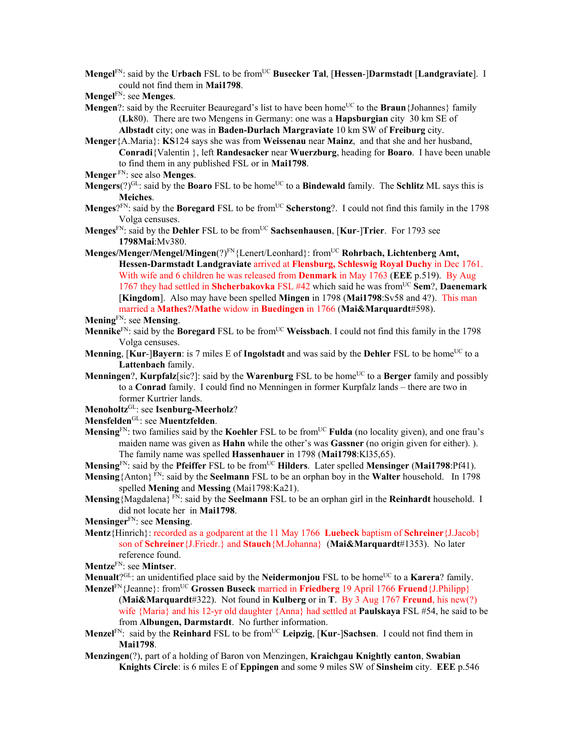**Mengel**FN: said by the **Urbach** FSL to be fromUC **Busecker Tal**, [**Hessen**-]**Darmstadt** [**Landgraviate**]. I could not find them in **Mai1798**.

- **Mengel**FN: see **Menges**.
- **Mengen**?: said by the Recruiter Beauregard's list to have been home<sup>UC</sup> to the **Braun**{Johannes} family (**Lk**80). There are two Mengens in Germany: one was a **Hapsburgian** city 30 km SE of **Albstadt** city; one was in **Baden-Durlach Margraviate** 10 km SW of **Freiburg** city.

**Menger**{A.Maria}: **KS**124 says she was from **Weissenau** near **Mainz**, and that she and her husband, **Conradi**{Valentin }, left **Randesacker** near **Wuerzburg**, heading for **Boaro**. I have been unable to find them in any published FSL or in **Mai1798**.

- **Menger** FN: see also **Menges**.
- **Mengers**(?)<sup>GL</sup>: said by the **Boaro** FSL to be home<sup>UC</sup> to a **Bindewald** family. The **Schlitz** ML says this is **Meiches**.
- **Menges**?<sup>FN</sup>: said by the **Boregard** FSL to be from<sup>UC</sup> **Scherstong**?. I could not find this family in the 1798 Volga censuses.
- **Menges**FN: said by the **Dehler** FSL to be fromUC **Sachsenhausen**, [**Kur**-]**Trier**. For 1793 see **1798Mai**:Mv380.
- **Menges/Menger/Mengel/Mingen**(?)<sup>FN</sup>{Lenert/Leonhard}: from<sup>UC</sup> **Rohrbach, Lichtenberg Amt, Hessen-Darmstadt Landgraviate** arrived at **Flensburg, Schleswig Royal Duchy** in Dec 1761. With wife and 6 children he was released from **Denmark** in May 1763 (**EEE** p.519). By Aug 1767 they had settled in **Shcherbakovka** FSL #42 which said he was fromUC **Sem**?, **Daenemark** [**Kingdom**]. Also may have been spelled **Mingen** in 1798 (**Mai1798**:Sv58 and 4?). This man married a **Mathes?/Mathe** widow in **Buedingen** in 1766 (**Mai&Marquardt**#598).

**Mening**FN: see **Mensing**.

- **Mennike**<sup>FN</sup>: said by the **Boregard** FSL to be from<sup>UC</sup> Weissbach. I could not find this family in the 1798 Volga censuses.
- **Menning**,  $\text{Kur-}\text{Bavern}$ : is 7 miles E of **Ingolstadt** and was said by the **Dehler** FSL to be home<sup>UC</sup> to a **Lattenbach** family.
- **Menningen**?, **Kurpfalz**[sic?]: said by the **Warenburg** FSL to be home<sup>UC</sup> to a **Berger** family and possibly to a **Conrad** family. I could find no Menningen in former Kurpfalz lands – there are two in former Kurtrier lands.

**Menoholtz**GL: see **Isenburg-Meerholz**?

**Mensfelden**GL: see **Muentzfelden**.

- **Mensing**<sup>FN</sup>: two families said by the **Koehler** FSL to be from<sup>UC</sup> **Fulda** (no locality given), and one frau's maiden name was given as **Hahn** while the other's was **Gassner** (no origin given for either). ). The family name was spelled **Hassenhauer** in 1798 (**Mai1798**:Kl35,65).
- **Mensing**FN: said by the **Pfeiffer** FSL to be fromUC **Hilders**. Later spelled **Mensinger** (**Mai1798**:Pf41).
- **Mensing**{Anton} FN: said by the **Seelmann** FSL to be an orphan boy in the **Walter** household. In 1798 spelled **Mening** and **Messing** (Mai1798:Ka21).
- **Mensing**{Magdalena} FN: said by the **Seelmann** FSL to be an orphan girl in the **Reinhardt** household. I did not locate her in **Mai1798**.
- **Mensinger**FN: see **Mensing**.
- **Mentz**{Hinrich}: recorded as a godparent at the 11 May 1766 **Luebeck** baptism of **Schreiner**{J.Jacob} son of **Schreiner**{J.Friedr.} and **Stauch**{M.Johanna} (**Mai&Marquardt**#1353). No later reference found.

**Mentze**FN: see **Mintser**.

**Menualt**?<sup>GL</sup>: an unidentified place said by the **Neidermonjou** FSL to be home<sup>UC</sup> to a **Karera**? family.

- **Menzel**FN{Jeanne}: fromUC **Grossen Buseck** married in **Friedberg** 19 April 1766 **Fruend**{J.Philipp} (**Mai&Marquardt**#322). Not found in **Kulberg** or in **T**. By 3 Aug 1767 **Freund**, his new(?) wife {Maria} and his 12-yr old daughter {Anna} had settled at **Paulskaya** FSL #54, he said to be from **Albungen, Darmstardt**.No further information.
- **Menzel**<sup>FN</sup>: said by the **Reinhard** FSL to be from<sup>UC</sup> Leipzig, [Kur-]Sachsen. I could not find them in **Mai1798**.
- **Menzingen**(?), part of a holding of Baron von Menzingen, **Kraichgau Knightly canton**, **Swabian Knights Circle**: is 6 miles E of **Eppingen** and some 9 miles SW of **Sinsheim** city. **EEE** p.546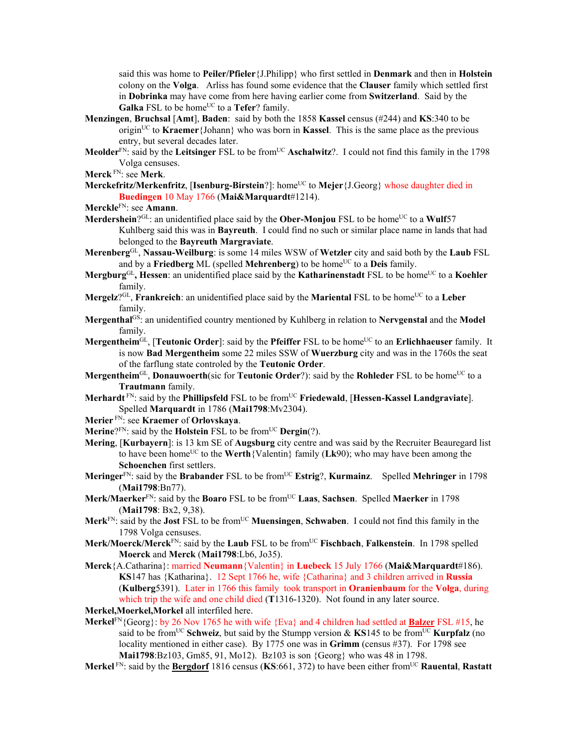said this was home to **Peiler/Pfieler**{J.Philipp} who first settled in **Denmark** and then in **Holstein** colony on the **Volga**. Arliss has found some evidence that the **Clauser** family which settled first in **Dobrinka** may have come from here having earlier come from **Switzerland**. Said by the **Galka** FSL to be home<sup>UC</sup> to a **Tefer**? family.

- **Menzingen**, **Bruchsal** [**Amt**], **Baden**: said by both the 1858 **Kassel** census (#244) and **KS**:340 to be origin<sup>UC</sup> to **Kraemer** {Johann} who was born in **Kassel**. This is the same place as the previous entry, but several decades later.
- **Meolder**<sup>FN</sup>: said by the **Leitsinger** FSL to be from<sup>UC</sup> **Aschalwitz**?. I could not find this family in the 1798 Volga censuses.
- **Merck** FN: see **Merk**.
- Merckefritz/Merkenfritz, [Isenburg-Birstein?]: home<sup>UC</sup> to Mejer {J.Georg} whose daughter died in **Buedingen** 10 May 1766 (**Mai&Marquardt**#1214).
- **Merckle**FN: see **Amann**.
- **Merdershein**?<sup>GL</sup>: an unidentified place said by the **Ober-Monjou** FSL to be home<sup>UC</sup> to a **Wulf**57 Kuhlberg said this was in **Bayreuth**. I could find no such or similar place name in lands that had belonged to the **Bayreuth Margraviate**.
- **Merenberg**GL, **Nassau-Weilburg**: is some 14 miles WSW of **Wetzler** city and said both by the **Laub** FSL and by a Friedberg ML (spelled Mehrenberg) to be home<sup>UC</sup> to a Deis family.
- **Mergburg**<sup>GL</sup>, **Hessen**: an unidentified place said by the **Katharinenstadt** FSL to be home<sup>UC</sup> to a **Koehler** family.
- **Mergelz**?<sup>GL</sup>, **Frankreich**: an unidentified place said by the **Mariental** FSL to be home<sup>UC</sup> to a Leber family.
- **Mergenthal**GS: an unidentified country mentioned by Kuhlberg in relation to **Nervgenstal** and the **Model** family.
- **Mergentheim**<sup>GL</sup>, [**Teutonic Order**]: said by the **Pfeiffer** FSL to be home<sup>UC</sup> to an Erlichhaeuser family. It is now **Bad Mergentheim** some 22 miles SSW of **Wuerzburg** city and was in the 1760s the seat of the farflung state controled by the **Teutonic Order**.
- **Mergentheim**<sup>GL</sup>, **Donauwoerth**(sic for **Teutonic Order**?): said by the **Rohleder** FSL to be home<sup>UC</sup> to a **Trautmann** family.
- **Merhardt** FN: said by the **Phillipsfeld** FSL to be fromUC **Friedewald**, [**Hessen-Kassel Landgraviate**]. Spelled **Marquardt** in 1786 (**Mai1798**:Mv2304).
- **Merier** FN: see **Kraemer** of **Orlovskaya**.
- **Merine**?FN: said by the **Holstein** FSL to be fromUC **Dergin**(?).
- **Mering**, [**Kurbayern**]: is 13 km SE of **Augsburg** city centre and was said by the Recruiter Beauregard list to have been home<sup>UC</sup> to the **Werth** {Valentin} family (Lk90); who may have been among the **Schoenchen** first settlers.
- **Meringer**<sup>FN</sup>: said by the **Brabander** FSL to be from<sup>UC</sup> **Estrig**?, **Kurmainz**. Spelled **Mehringer** in 1798 (**Mai1798**:Bn77).
- **Merk/Maerker**FN: said by the **Boaro** FSL to be fromUC **Laas**, **Sachsen**. Spelled **Maerker** in 1798 (**Mai1798**: Bx2, 9,38).
- **Merk**FN: said by the **Jost** FSL to be fromUC **Muensingen**, **Schwaben**. I could not find this family in the 1798 Volga censuses.
- **Merk/Moerck/Merck**FN: said by the **Laub** FSL to be fromUC **Fischbach**, **Falkenstein**. In 1798 spelled **Moerck** and **Merck** (**Mai1798**:Lb6, Jo35).
- **Merck**{A.Catharina}: married **Neumann**{Valentin} in **Luebeck** 15 July 1766 (**Mai&Marquardt**#186). **KS**147 has {Katharina}. 12 Sept 1766 he, wife {Catharina} and 3 children arrived in **Russia**  (**Kulberg**5391). Later in 1766 this family took transport in **Oranienbaum** for the **Volga**, during which trip the wife and one child died (**T**1316-1320). Not found in any later source.
- **Merkel,Moerkel,Morkel** all interfiled here.
- **Merkel**<sup>FN</sup>{Georg}: by 26 Nov 1765 he with wife {Eva} and 4 children had settled at **Balzer** FSL #15, he said to be from<sup>UC</sup> Schweiz, but said by the Stumpp version  $\&$  KS145 to be from<sup>UC</sup> Kurpfalz (no locality mentioned in either case). By 1775 one was in **Grimm** (census #37). For 1798 see **Mai1798**:Bz103, Gm85, 91, Mo12). Bz103 is son {Georg} who was 48 in 1798.
- **Merkel** FN: said by the **Bergdorf** 1816 census (**KS**:661, 372) to have been either fromUC **Rauental**, **Rastatt**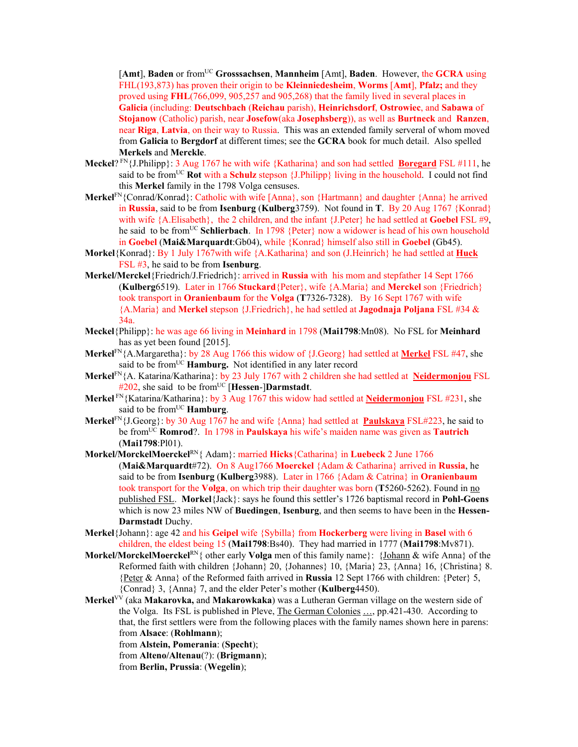[**Amt**], **Baden** or fromUC **Grosssachsen**, **Mannheim** [Amt], **Baden**. However, the **GCRA** using FHL(193,873) has proven their origin to be **Kleinniedesheim**, **Worms** [**Amt**], **Pfalz;** and they proved using **FHL**(766,099, 905,257 and 905,268) that the family lived in several places in **Galicia** (including: **Deutschbach** (**Reichau** parish), **Heinrichsdorf**, **Ostrowiec**, and **Sabawa** of **Stojanow** (Catholic) parish, near **Josefow**(aka **Josephsberg**)), as well as **Burtneck** and **Ranzen**, near **Riga**, **Latvia**, on their way to Russia. This was an extended family serveral of whom moved from **Galicia** to **Bergdorf** at different times; see the **GCRA** book for much detail. Also spelled **Merkels** and **Merckle**.

- **Meckel**? FN{J.Philipp}: 3 Aug 1767 he with wife {Katharina} and son had settled **Boregard** FSL #111, he said to be from<sup>UC</sup> **Rot** with a **Schulz** stepson  $\{J\}$ . Philipp} living in the household. I could not find this **Merkel** family in the 1798 Volga censuses.
- **Merkel**<sup>FN</sup>{Conrad/Konrad}: Catholic with wife [Anna}, son {Hartmann} and daughter {Anna} he arrived in **Russia**, said to be from **Isenburg** (**Kulberg**3759). Not found in **T**. By 20 Aug 1767 {Konrad} with wife {A.Elisabeth}, the 2 children, and the infant {J.Peter} he had settled at **Goebel** FSL #9, he said to be fromUC **Schlierbach**. In 1798 {Peter} now a widower is head of his own household in **Goebel** (**Mai&Marquardt**:Gb04), while {Konrad} himself also still in **Goebel** (Gb45).
- **Morkel**{Konrad}: By 1 July 1767with wife {A.Katharina} and son (J.Heinrich} he had settled at **Huck**  FSL #3, he said to be from **Isenburg**.
- **Merkel/Merckel**{Friedrich/J.Friedrich}: arrived in **Russia** with his mom and stepfather 14 Sept 1766 (**Kulberg**6519). Later in 1766 **Stuckard**{Peter}, wife {A.Maria} and **Merckel** son {Friedrich} took transport in **Oranienbaum** for the **Volga** (**T**7326-7328). By 16 Sept 1767 with wife {A.Maria} and **Merkel** stepson {J.Friedrich}, he had settled at **Jagodnaja Poljana** FSL #34 & 34a.
- **Meckel**{Philipp}: he was age 66 living in **Meinhard** in 1798 (**Mai1798**:Mn08). No FSL for **Meinhard**  has as yet been found [2015].
- **Merkel**FN{A.Margaretha}: by 28 Aug 1766 this widow of {J.Georg} had settled at **Merkel** FSL #47, she said to be from<sup>UC</sup> Hamburg. Not identified in any later record
- **Merkel**FN{A. Katarina/Katharina}: by 23 July 1767 with 2 children she had settled at **Neidermonjou** FSL  $#202$ , she said to be from<sup>UC</sup> [Hessen-]Darmstadt.
- **Merkel** FN{Katarina/Katharina}: by 3 Aug 1767 this widow had settled at **Neidermonjou** FSL #231, she said to be from<sup>UC</sup> Hamburg.
- **Merkel**FN{J.Georg}: by 30 Aug 1767 he and wife {Anna} had settled at **Paulskaya** FSL#223, he said to be fromUC **Romrod**?. In 1798 in **Paulskaya** his wife's maiden name was given as **Tautrich** (**Mai1798**:Pl01).
- **Morkel/MorckelMoerckel**RN{ Adam}: married **Hicks**{Catharina} in **Luebeck** 2 June 1766 (**Mai&Marquardt**#72). On 8 Aug1766 **Moerckel** {Adam & Catharina} arrived in **Russia**, he said to be from **Isenburg** (**Kulberg**3988). Later in 1766 {Adam & Catrina} in **Oranienbaum**  took transport for the **Volga**, on which trip their daughter was born (**T**5260-5262). Found in no published FSL. **Morkel**{Jack}: says he found this settler's 1726 baptismal record in **Pohl-Goens** which is now 23 miles NW of **Buedingen**, **Isenburg**, and then seems to have been in the **Hessen-Darmstadt** Duchy.
- **Merkel**{Johann}: age 42 and his **Geipel** wife {Sybilla} from **Hockerberg** were living in **Basel** with 6 children, the eldest being 15 (**Mai1798**:Bs40). They had married in 1777 (**Mai1798**:Mv871).
- **Morkel/MorckelMoerckel**RN{ other early **Volga** men of this family name}: {Johann & wife Anna} of the Reformed faith with children {Johann} 20, {Johannes} 10, {Maria} 23, {Anna} 16, {Christina} 8. {Peter & Anna} of the Reformed faith arrived in **Russia** 12 Sept 1766 with children: {Peter} 5, {Conrad} 3, {Anna} 7, and the elder Peter's mother (**Kulberg**4450).
- **Merkel**VV (aka **Makarovka,** and **Makarowkaka**) was a Lutheran German village on the western side of the Volga. Its FSL is published in Pleve, The German Colonies …, pp.421-430. According to that, the first settlers were from the following places with the family names shown here in parens: from **Alsace**: (**Rohlmann**);
	- from **Alstein, Pomerania**: (**Specht**);
	- from **Alteno/Altenau**(?): (**Brigmann**);
	- from **Berlin, Prussia**: (**Wegelin**);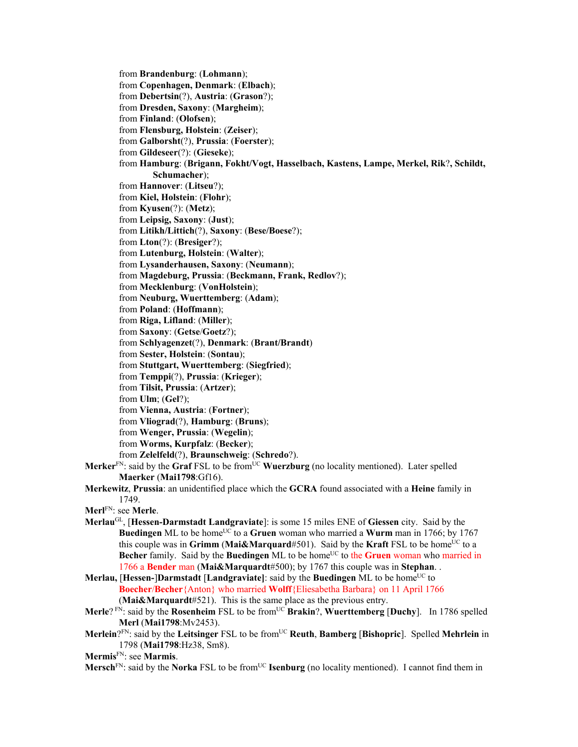from **Brandenburg**: (**Lohmann**); from **Copenhagen, Denmark**: (**Elbach**); from **Debertsin**(?), **Austria**: (**Grason**?); from **Dresden, Saxony**: (**Margheim**); from **Finland**: (**Olofsen**); from **Flensburg, Holstein**: (**Zeiser**); from **Galborsht**(?), **Prussia**: (**Foerster**); from **Gildeseer**(?): (**Gieseke**); from **Hamburg**: (**Brigann, Fokht/Vogt, Hasselbach, Kastens, Lampe, Merkel, Rik**?**, Schildt, Schumacher**); from **Hannover**: (**Litseu**?); from **Kiel, Holstein**: (**Flohr**); from **Kyusen**(?): (**Metz**); from **Leipsig, Saxony**: (**Just**); from **Litikh/Littich**(?), **Saxony**: (**Bese/Boese**?); from **Lton**(?): (**Bresiger**?); from **Lutenburg, Holstein**: (**Walter**); from **Lysanderhausen, Saxony**: (**Neumann**); from **Magdeburg, Prussia**: (**Beckmann, Frank, Redlov**?); from **Mecklenburg**: (**VonHolstein**); from **Neuburg, Wuerttemberg**: (**Adam**); from **Poland**: (**Hoffmann**); from **Riga, Lifland**: (**Miller**); from **Saxony**: (**Getse**/**Goetz**?); from **Schlyagenzet**(?), **Denmark**: (**Brant/Brandt**) from **Sester, Holstein**: (**Sontau**); from **Stuttgart, Wuerttemberg**: (**Siegfried**); from **Temppi**(?), **Prussia**: (**Krieger**); from **Tilsit, Prussia**: (**Artzer**); from **Ulm**; (**Gel**?); from **Vienna, Austria**: (**Fortner**); from **Vliograd**(?), **Hamburg**: (**Bruns**); from **Wenger, Prussia**: (**Wegelin**); from **Worms, Kurpfalz**: (**Becker**); from **Zelelfeld**(?), **Braunschweig**: (**Schredo**?). **Merker**<sup>FN</sup>: said by the **Graf** FSL to be from<sup>UC</sup> **Wuerzburg** (no locality mentioned). Later spelled **Maerker** (**Mai1798**:Gf16). **Merkewitz**, **Prussia**: an unidentified place which the **GCRA** found associated with a **Heine** family in 1749.

**Merl**FN: see **Merle**.

- **Merlau**GL, [**Hessen-Darmstadt Landgraviate**]: is some 15 miles ENE of **Giessen** city. Said by the **Buedingen** ML to be home<sup>UC</sup> to a **Gruen** woman who married a **Wurm** man in 1766; by 1767 this couple was in **Grimm** (Mai&Marquard#501). Said by the **Kraft** FSL to be home<sup>UC</sup> to a **Becher** family. Said by the **Buedingen** ML to be home<sup>UC</sup> to the **Gruen** woman who married in 1766 a **Bender** man (**Mai&Marquardt**#500); by 1767 this couple was in **Stephan**. .
- **Merlau, [Hessen-]Darmstadt [Landgraviate]**: said by the **Buedingen** ML to be home<sup>UC</sup> to **Boecher**/**Becher**{Anton} who married **Wolff**{Eliesabetha Barbara} on 11 April 1766 (**Mai&Marquardt**#521). This is the same place as the previous entry.
- **Merle**? FN: said by the **Rosenheim** FSL to be from<sup>UC</sup> **Brakin**?, **Wuerttemberg** [Duchy]. In 1786 spelled **Merl** (**Mai1798**:Mv2453).
- **Merlein**?FN: said by the **Leitsinger** FSL to be fromUC **Reuth**, **Bamberg** [**Bishopric**]. Spelled **Mehrlein** in 1798 (**Mai1798**:Hz38, Sm8).
- **Mermis**FN: see **Marmis**.

**Mersch**<sup>FN</sup>: said by the **Norka** FSL to be from<sup>UC</sup> **Isenburg** (no locality mentioned). I cannot find them in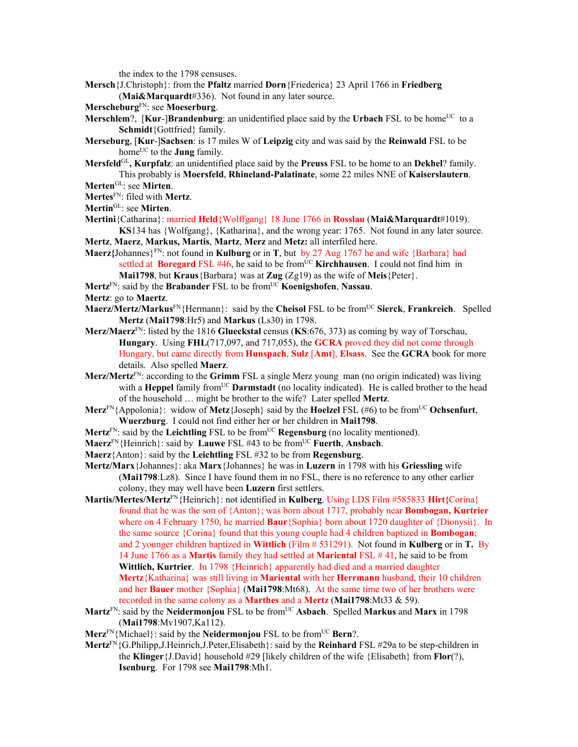the index to the 1798 censuses.

- **Mersch**{J.Christoph}: from the **Pfaltz** married **Dorn**{Friederica} 23 April 1766 in **Friedberg** (**Mai&Marquardt**#336). Not found in any later source.
- **Merscheburg**FN: see **Moeserburg**.
- **Merschlem?, [Kur-]Brandenburg**: an unidentified place said by the Urbach FSL to be home<sup>UC</sup> to a **Schmidt**{Gottfried} family.
- **Merseburg**, [**Kur**-]**Sachsen**: is 17 miles W of **Leipzig** city and was said by the **Reinwald** FSL to be home<sup>UC</sup> to the **Jung** family.
- **Mersfeld**GL**, Kurpfalz**: an unidentified place said by the **Preuss** FSL to be home to an **Dekhel**? family. This probably is **Moersfeld**, **Rhineland-Palatinate**, some 22 miles NNE of **Kaiserslautern**.
- **Merten**GL: see **Mirten**.
- **Mertes**FN: filed with **Mertz**. **Mertin**GL: see **Mirten**.
- 
- **Mertini**{Catharina}: married **Held**{Wolffgang} 18 June 1766 in **Rosslau** (**Mai&Marquardt**#1019). **KS**134 has {Wolfgang}, {Katharina}, and the wrong year: 1765. Not found in any later source.
- **Mertz**, **Maerz**, **Markus, Martis**, **Martz**, **Merz** and **Metz:** all interfiled here.
- **Maerz{**Johannes}FN: not found in **Kulburg** or in **T**, but by 27 Aug 1767 he and wife {Barbara} had settled at **Boregard** FSL #46, he said to be from<sup>UC</sup> **Kirchhausen**. I could not find him in **Mai1798**, but **Kraus**{Barbara} was at **Zug** (Zg19) as the wife of **Meis**{Peter}.
- **Mertz**FN: said by the **Brabander** FSL to be fromUC **Koenigshofen**, **Nassau**.
- **Mertz**: go to **Maertz**.
- **Maerz/Mertz/Markus**FN{Hermann}: said by the **Cheisol** FSL to be fromUC **Sierck**, **Frankreich**. Spelled **Mertz** (**Mai1798**:Hr5) and **Markus** (Ls30) in 1798.
- **Merz/Maerz**FN: listed by the 1816 **Glueckstal** census (**KS**:676, 373) as coming by way of Torschau, **Hungary**. Using **FHL**(717,097, and 717,055), the **GCRA** proved they did not come through Hungary, but came directly from **Hunspach**, **Sulz** [**Amt**], **Elsass**. See the **GCRA** book for more details. Also spelled **Maerz**.
- **Merz/Mertz**FN: according to the **Grimm** FSL a single Merz young man (no origin indicated) was living with a **Heppel** family from<sup>UC</sup> **Darmstadt** (no locality indicated). He is called brother to the head of the household … might be brother to the wife? Later spelled **Mertz**.
- **Merz**<sup>FN</sup>{Appolonia}: widow of **Metz**{Joseph} said by the **Hoelzel** FSL (#6) to be from<sup>UC</sup> Ochsenfurt, **Wuerzburg**. I could not find either her or her children in **Mai1798**.
- **Mertz**<sup>FN</sup>: said by the **Leichtling** FSL to be from<sup>UC</sup> **Regensburg** (no locality mentioned).
- **Maerz**FN{Heinrich}: said by **Lauwe** FSL #43 to be fromUC **Fuerth**, **Ansbach**.
- **Maerz**{Anton}: said by the **Leichtling** FSL #32 to be from **Regensburg**.
- **Mertz/Marx**{Johannes}: aka **Marx**{Johannes} he was in **Luzern** in 1798 with his **Griessling** wife (**Mai1798**:Lz8). Since I have found them in no FSL, there is no reference to any other earlier colony, they may well have been **Luzern** first settlers.
- **Martis/Mertes/Mertz**FN{Heinrich}: not identified in **Kulberg**. Using LDS Film #585833 **Hirt{**Corina} found that he was the son of {Anton}; was born about 1717, probably near **Bombogan, Kurtrier** where on 4 February 1750, he married **Baur**{Sophia} born about 1720 daughter of {Dionysii}. In the same source {Corina} found that this young couple had 4 children baptized in **Bombogan**; and 2 younger children baptized in **Wittlich** (Film # 531291). Not found in **Kulberg** or in **T.** By 14 June 1766 as a **Martis** family they had settled at **Mariental** FSL # 41, he said to be from **Wittlich, Kurtrier**. In 1798 {Heinrich} apparently had died and a married daughter **Mertz**{Katharina} was still living in **Mariental** with her **Herrmann** husband, their 10 children and her **Bauer** mother {Sophia} (**Mai1798**:Mt68). At the same time two of her brothers were recorded in the same colony as a **Marthes** and a **Mertz** (**Mai1798**:Mt33 & 59).
- **Martz<sup>FN</sup>: said by the Neidermonjou FSL to be from<sup>UC</sup> Asbach. Spelled Markus and Marx in 1798** (**Mai1798**:Mv1907,Ka112).
- **Merz**FN{Michael}: said by the **Neidermonjou** FSL to be fromUC **Bern**?.
- **Mertz**FN{G.Philipp,J.Heinrich,J.Peter,Elisabeth}: said by the **Reinhard** FSL #29a to be step-children in the **Klinger**{J.David} household #29 [likely children of the wife {Elisabeth} from **Flor**(?), **Isenburg**. For 1798 see **Mai1798**:Mh1.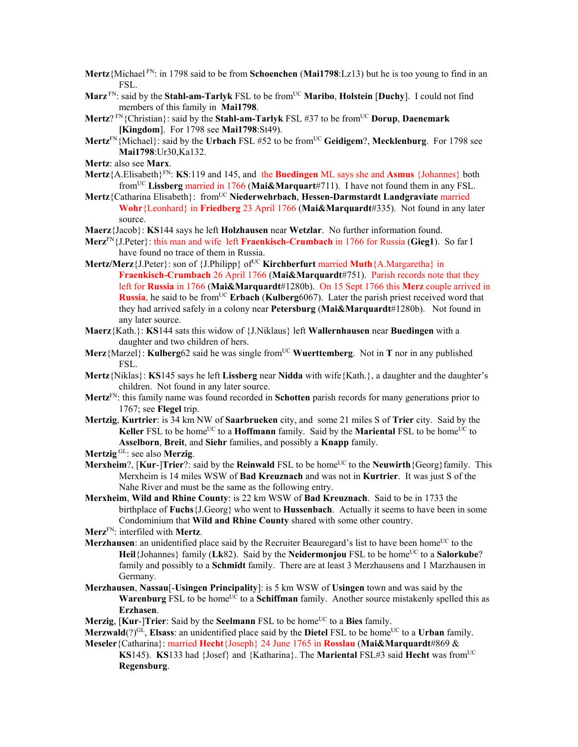- **Mertz**{Michael FN: in 1798 said to be from **Schoenchen** (**Mai1798**:Lz13) but he is too young to find in an FSL.
- **Marz** FN: said by the **Stahl-am-Tarlyk** FSL to be from<sup>UC</sup> **Maribo**, **Holstein** [Duchy]. I could not find members of this family in **Mai1798**.
- **Mertz**? <sup>FN</sup>{Christian}: said by the **Stahl-am-Tarlyk** FSL #37 to be from<sup>UC</sup> **Dorup**, **Daenemark [Kingdom**]. For 1798 see **Mai1798**:St49).
- **Mertz**FN{Michael}: said by the **Urbach** FSL #52 to be fromUC **Geidigem**?, **Mecklenburg**. For 1798 see **Mai1798**:Ur30,Ka132.
- **Mertz**: also see **Marx**.
- **Mertz**{A.Elisabeth}FN: **KS**:119 and 145, and the **Buedingen** ML says she and **Asmus** {Johannes} both fromUC **Lissberg** married in 1766 (**Mai&Marquart**#711). I have not found them in any FSL.
- **Mertz**{Catharina Elisabeth}: fromUC **Niederwehrbach**, **Hessen-Darmstardt Landgraviate** married **Wohr**{Leonhard} in **Friedberg** 23 April 1766 (**Mai&Marquardt**#335). Not found in any later source.
- **Maerz**{Jacob}: **KS**144 says he left **Holzhausen** near **Wetzlar**. No further information found.
- **Merz**FN{J.Peter}: this man and wife left **Fraenkisch-Crumbach** in 1766 for Russia (**Gieg1**). So far I have found no trace of them in Russia.
- **Mertz/Merz**{J.Peter}: son of {J.Philipp} of<sup>UC</sup>**Kirchberfurt** married **Muth**{A.Margaretha} in **Fraenkisch-Crumbach** 26 April 1766 (**Mai&Marquardt**#751). Parish records note that they left for **Russia** in 1766 (**Mai&Marquardt**#1280b). On 15 Sept 1766 this **Merz** couple arrived in **Russia**, he said to be from<sup>UC</sup> **Erbach** (**Kulberg**6067). Later the parish priest received word that they had arrived safely in a colony near **Petersburg** (**Mai&Marquardt**#1280b). Not found in any later source.
- **Maerz**{Kath.}: **KS**144 sats this widow of {J.Niklaus} left **Wallernhausen** near **Buedingen** with a daughter and two children of hers.
- **Merz**{Marzel}: **Kulberg**62 said he was single from<sup>UC</sup> Wuerttemberg. Not in **T** nor in any published FSL.
- **Mertz**{Niklas}: **KS**145 says he left **Lissberg** near **Nidda** with wife{Kath.}, a daughter and the daughter's children. Not found in any later source.
- **Mertz**FN: this family name was found recorded in **Schotten** parish records for many generations prior to 1767; see **Flegel** trip.
- **Mertzig**, **Kurtrier**: is 34 km NW of **Saarbrueken** city, and some 21 miles S of **Trier** city. Said by the **Keller** FSL to be home<sup>UC</sup> to a **Hoffmann** family. Said by the **Mariental** FSL to be home<sup>UC</sup> to **Asselborn**, **Breit**, and **Siehr** families, and possibly a **Knapp** family.
- **Mertzig** GL: see also **Merzig**.
- **Merxheim**?, [Kur-]Trier?: said by the Reinwald FSL to be home<sup>UC</sup> to the Neuwirth {Georg}family. This Merxheim is 14 miles WSW of **Bad Kreuznach** and was not in **Kurtrier**. It was just S of the Nahe River and must be the same as the following entry.
- **Merxheim**, **Wild and Rhine County**: is 22 km WSW of **Bad Kreuznach**. Said to be in 1733 the birthplace of **Fuchs**{J.Georg} who went to **Hussenbach**. Actually it seems to have been in some Condominium that **Wild and Rhine County** shared with some other country.
- **Merz**FN: interfiled with **Mertz**.
- **Merzhausen**: an unidentified place said by the Recruiter Beauregard's list to have been home<sup>UC</sup> to the **Heil**{Johannes} family (Lk82). Said by the **Neidermonjou** FSL to be home<sup>UC</sup> to a **Salorkube**? family and possibly to a **Schmidt** family. There are at least 3 Merzhausens and 1 Marzhausen in Germany.
- **Merzhausen**, **Nassau**[-**Usingen Principality**]: is 5 km WSW of **Usingen** town and was said by the **Warenburg** FSL to be home<sup>UC</sup> to a **Schiffman** family. Another source mistakenly spelled this as **Erzhasen**.
- **Merzig**, [**Kur**-]Trier: Said by the **Seelmann** FSL to be home<sup>UC</sup> to a Bies family.
- **Merzwald**(?)<sup>GL</sup>, **Elsass**: an unidentified place said by the **Dietel** FSL to be home<sup>UC</sup> to a Urban family. **Meseler**{Catharina}: married **Hecht**{Joseph} 24 June 1765 in **Rosslau** (**Mai&Marquardt**#869 &
	- **KS**145). **KS**133 had {Josef} and {Katharina}. The **Mariental** FSL#3 said **Hecht** was from<sup>UC</sup> **Regensburg**.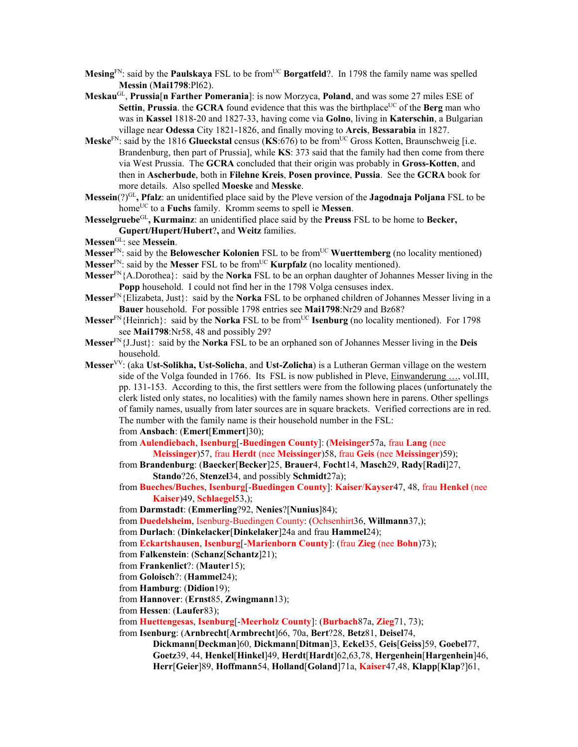- **Mesing**<sup>FN</sup>: said by the **Paulskaya** FSL to be from<sup>UC</sup> **Borgatfeld**?. In 1798 the family name was spelled **Messin** (**Mai1798**:Pl62).
- **Meskau**GL, **Prussia**[**n Farther Pomerania**]: is now Morzyca, **Poland**, and was some 27 miles ESE of **Settin, Prussia.** the **GCRA** found evidence that this was the birthplace<sup>UC</sup> of the **Berg** man who was in **Kassel** 1818-20 and 1827-33, having come via **Golno**, living in **Katerschin**, a Bulgarian village near **Odessa** City 1821-1826, and finally moving to **Arcis**, **Bessarabia** in 1827.
- **Meske**<sup>FN</sup>: said by the 1816 **Glueckstal** census (**KS**:676) to be from<sup>UC</sup> Gross Kotten, Braunschweig [i.e. Brandenburg, then part of Prussia], while **KS**: 373 said that the family had then come from there via West Prussia. The **GCRA** concluded that their origin was probably in **Gross-Kotten**, and then in **Ascherbude**, both in **Filehne Kreis**, **Posen province**, **Pussia**. See the **GCRA** book for more details. Also spelled **Moeske** and **Messke**.
- **Messein**(?)GL**, Pfalz**: an unidentified place said by the Pleve version of the **Jagodnaja Poljana** FSL to be homeUC to a **Fuchs** family. Kromm seems to spell ie **Messen**.
- **Messelgruebe**GL**, Kurmainz**: an unidentified place said by the **Preuss** FSL to be home to **Becker, Gupert/Hupert/Hubert**?**,** and **Weitz** families.
- **Messen**GL: see **Messein**.
- **Messer**<sup>FN</sup>: said by the **Belowescher Kolonien** FSL to be from<sup>UC</sup> **Wuerttemberg** (no locality mentioned)
- **Messer**<sup>FN</sup>: said by the **Messer** FSL to be from<sup>UC</sup> **Kurpfalz** (no locality mentioned).
- **Messer**FN{A.Dorothea}: said by the **Norka** FSL to be an orphan daughter of Johannes Messer living in the **Popp** household. I could not find her in the 1798 Volga censuses index.
- **Messer**FN{Elizabeta, Just}: said by the **Norka** FSL to be orphaned children of Johannes Messer living in a **Bauer** household. For possible 1798 entries see **Mai1798**:Nr29 and Bz68?
- **Messer**<sup>FN</sup>{Heinrich}: said by the **Norka** FSL to be from<sup>UC</sup> **Isenburg** (no locality mentioned). For 1798 see **Mai1798**:Nr58, 48 and possibly 29?
- **Messer**FN{J.Just}: said by the **Norka** FSL to be an orphaned son of Johannes Messer living in the **Deis** household.
- **Messer**VV: (aka **Ust-Solikha, Ust-Solicha**, and **Ust-Zolicha**) is a Lutheran German village on the western side of the Volga founded in 1766. Its FSL is now published in Pleve, Einwanderung …, vol.III, pp. 131-153. According to this, the first settlers were from the following places (unfortunately the clerk listed only states, no localities) with the family names shown here in parens. Other spellings of family names, usually from later sources are in square brackets. Verified corrections are in red. The number with the family name is their household number in the FSL: from **Ansbach**: (**Emert**[**Emmert**]30);

from **Aulendiebach**, **Isenburg**[-**Buedingen County**]: (**Meisinger**57a, frau **Lang** (nee

- **Meissinger**)57, frau **Herdt** (nee **Meissinger**)58, frau **Geis** (nee **Meissinger**)59);
- from **Brandenburg**: (**Baecker**[**Becker**]25, **Brauer**4, **Focht**14, **Masch**29, **Rady**[**Radi**]27, **Stando**?26, **Stenzel**34, and possibly **Schmidt**27a);
- from **Bueches/Buches**, **Isenburg**[-**Buedingen County**]: **Kaiser**/**Kayser**47, 48, frau **Henkel** (nee **Kaiser**)49, **Schlaegel**53,);
- from **Darmstadt**: (**Emmerling**?92, **Nenies**?[**Nunius**]84);
- from **Duedelsheim**, Isenburg-Buedingen County: (Ochsenhirt36, **Willmann**37,);
- from **Durlach**: (**Dinkelacker**[**Dinkelaker**]24a and frau **Hammel**24);
- from **Eckartshausen**, **Isenburg**[-**Marienborn County**]: (frau **Zieg** (nee **Bohn**)73);

```
from Falkenstein: (Schanz[Schantz]21);
```
- from **Frankenlict**?: (**Mauter**15);
- from **Goloisch**?: (**Hammel**24);
- from **Hamburg**: (**Didion**19);
- from **Hannover**: (**Ernst**85, **Zwingmann**13);
- from **Hessen**: (**Laufer**83);
- from **Huettengesas**, **Isenburg**[-**Meerholz County**]: (**Burbach**87a, **Zieg**71, 73);
- from **Isenburg**: (**Arnbrecht**[**Armbrecht**]66, 70a, **Bert**?28, **Betz**81, **Deisel**74,
	- **Dickmann**[**Deckman**]60, **Dickmann**[**Ditman**]3, **Eckel**35, **Geis**[**Geiss**]59, **Goebel**77, **Goetz**39, 44, **Henkel**[**Hinkel**]49, **Herdt**[**Hardt**]62,63,78, **Hergenhein**[**Hargenhein**]46, **Herr**[**Geier**]89, **Hoffmann**54, **Holland**[**Goland**]71a, **Kaiser**47,48, **Klapp**[**Klap**?]61,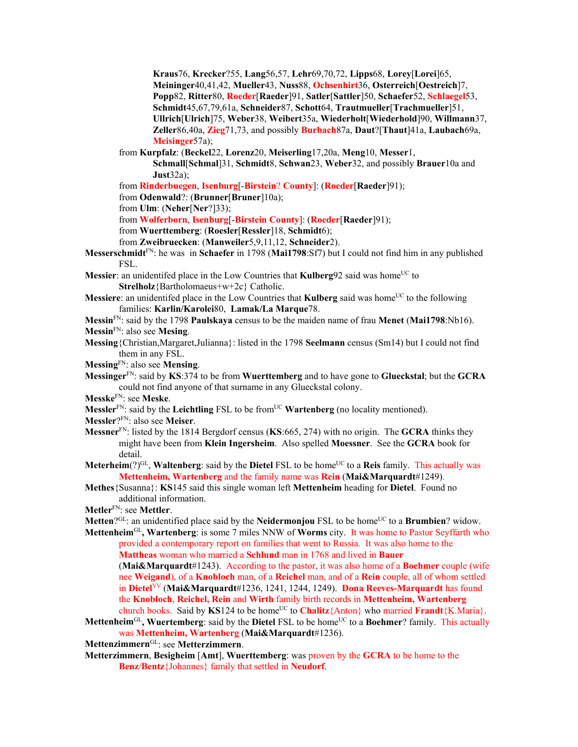**Kraus**76, **Krecker**?55, **Lang**56,57, **Lehr**69,70,72, **Lipps**68, **Lorey**[**Lorei**]65, **Meininger**40,41,42, **Mueller**43, **Nuss**88, **Ochsenhirt**36, **Osterreich**[**Oestreich**]7, **Popp**82, **Ritter**80, **Roeder**[**Raeder**]91, **Satler**[**Sattler**]50, **Schaefer**52, **Schlaegel**53, **Schmidt**45,67,79,61a, **Schneider**87, **Schott**64, **Trautmueller**[**Trachmueller**]51, **Ullrich**[**Ulrich**]75, **Weber**38, **Weibert**35a, **Wiederholt**[**Wiederhold**]90, **Willmann**37, **Zeller**86,40a, **Zieg**71,73, and possibly **Burbach**87a, **Daut**?[**Thaut**]41a, **Laubach**69a, **Meisinger**57a);

from **Kurpfalz**: (**Beckel**22, **Lorenz**20, **Meiserling**17,20a, **Meng**10, **Messer**1,

**Schmall**[**Schmal**]31, **Schmidt**8, **Schwan**23, **Weber**32, and possibly **Brauer**10a and **Just**32a);

from **Rinderbuegen**, **Isenburg**[-**Birstein**? **County**]: (**Roeder**[**Raeder**]91);

from **Odenwald**?: (**Brunner**[**Bruner**]10a);

from **Ulm**: (**Neher**[**Ner**?]33);

from **Wolferborn**, **Isenburg**[-**Birstein County**]: (**Roeder**[**Raeder**]91);

from **Wuerttemberg**: (**Roesler**[**Ressler**]18, **Schmidt**6);

from **Zweibruecken**: (**Manweiler**5,9,11,12, **Schneider**2).

**Messerschmidt**FN: he was in **Schaefer** in 1798 (**Mai1798**:Sf7) but I could not find him in any published FSL.

**Messier**: an unidentifed place in the Low Countries that **Kulberg**92 said was home<sup>UC</sup> to **Strelholz**{Bartholomaeus+w+2c} Catholic.

- **Messiere:** an unidentifed place in the Low Countries that **Kulberg** said was home<sup>UC</sup> to the following families: **Karlin/Karolei**80, **Lamak/La Marque**78.
- **Messin**FN: said by the 1798 **Paulskaya** census to be the maiden name of frau **Menet** (**Mai1798**:Nb16). **Messin**FN: also see **Mesing**.
- **Messing**{Christian,Margaret,Julianna}: listed in the 1798 **Seelmann** census (Sm14) but I could not find them in any FSL.

**Messing**FN: also see **Mensing**.

**Messinger**FN: said by **KS**:374 to be from **Wuerttemberg** and to have gone to **Glueckstal**; but the **GCRA** could not find anyone of that surname in any Glueckstal colony.

**Messke**FN: see **Meske**.

**Messler**<sup>FN</sup>: said by the **Leichtling** FSL to be from<sup>UC</sup> **Wartenberg** (no locality mentioned).

**Messler**?FN: also see **Meiser**.

- **Messner**FN: listed by the 1814 Bergdorf census (**KS**:665, 274) with no origin. The **GCRA** thinks they might have been from **Klein Ingersheim**. Also spelled **Moessner**. See the **GCRA** book for detail.
- **Meterheim**(?)<sup>GL</sup>, **Waltenberg**: said by the **Dietel** FSL to be home<sup>UC</sup> to a **Reis** family. This actually was **Mettenheim, Wartenberg** and the family name was **Rein** (**Mai&Marquardt**#1249).
- **Methes**{Susanna}: **KS**145 said this single woman left **Mettenheim** heading for **Dietel**. Found no additional information.

**Metler**FN: see **Mettler**.

**Metten**?<sup>GL</sup>: an unidentified place said by the **Neidermonjou** FSL to be home<sup>UC</sup> to a **Brumbien**? widow.

**Mettenheim**GL**, Wartenberg**: is some 7 miles NNW of **Worms** city. It was home to Pastor Seyffarth who provided a contemporary report on families that went to Russia. It was also home to the **Mattheas** woman who married a **Schlund** man in 1768 and lived in **Bauer**

(**Mai&Marquardt**#1243). According to the pastor, it was also home of a **Boehmer** couple (wife nee **Weigand**), of a **Knobloch** man, of a **Reichel** man, and of a **Rein** couple, all of whom settled in **Dietel**VV (**Mai&Marquardt**#1236, 1241, 1244, 1249). **Dona Reeves-Marquardt** has found the **Knobloch**, **Reichel, Rein** and **Wirth** family birth records in **Mettenheim, Wartenberg** church books. Said by  $KS124$  to be home<sup>UC</sup> to **Chalitz**{Anton} who married **Frandt**{K.Maria}.

**Mettenheim**<sup>GL</sup>, Wuertemberg: said by the Dietel FSL to be home<sup>UC</sup> to a Boehmer? family. This actually was **Mettenheim, Wartenberg** (**Mai&Marquardt**#1236).

**Mettenzimmern**GL: see **Metterzimmern**.

**Metterzimmern**, **Besigheim** [**Amt**], **Wuerttemberg**: was proven by the **GCRA** to be home to the **Benz**/**Bentz**{Johannes} family that settled in **Neudorf**.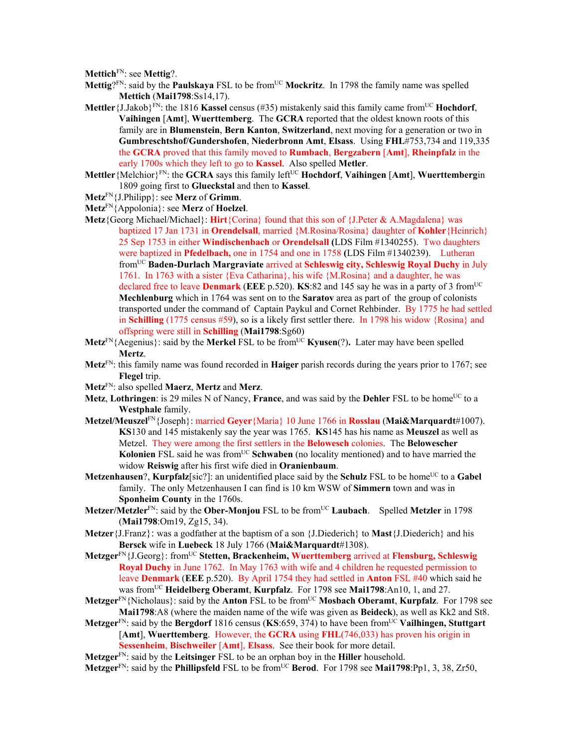**Mettich**FN: see **Mettig**?.

- Mettig?<sup>FN</sup>: said by the **Paulskaya** FSL to be from<sup>UC</sup> Mockritz. In 1798 the family name was spelled **Mettich** (**Mai1798**:Ss14,17).
- **Mettler** {J.Jakob}<sup>FN</sup>: the 1816 **Kassel** census (#35) mistakenly said this family came from<sup>UC</sup> **Hochdorf**, **Vaihingen** [**Amt**], **Wuerttemberg**. The **GCRA** reported that the oldest known roots of this family are in **Blumenstein**, **Bern Kanton**, **Switzerland**, next moving for a generation or two in **Gumbreschtshof/Gundershofen**, **Niederbronn Amt**, **Elsass**. Using **FHL**#753,734 and 119,335 the **GCRA** proved that this family moved to **Rumbach**, **Bergzabern** [**Amt**], **Rheinpfalz** in the early 1700s which they left to go to **Kassel**. Also spelled **Metler**.
- **Mettler**{Melchior}FN: the **GCRA** says this family leftUC **Hochdorf**, **Vaihingen** [**Amt**], **Wuerttemberg**in 1809 going first to **Glueckstal** and then to **Kassel**.
- **Metz**FN{J.Philipp}: see **Merz** of **Grimm**.
- **Metz**FN{Appolonia}: see **Merz** of **Hoelzel**.
- **Metz**{Georg Michael/Michael}: **Hirt**{Corina} found that this son of {J.Peter & A.Magdalena} was baptized 17 Jan 1731 in **Orendelsall**, married {M.Rosina/Rosina} daughter of **Kohler**{Heinrich} 25 Sep 1753 in either **Windischenbach** or **Orendelsall (**LDS Film #1340255). Two daughters were baptized in **Pfedelbach,** one in 1754 and one in 1758 **(**LDS Film #1340239). Lutheran fromUC **Baden-Durlach Margraviate** arrived at **Schleswig city, Schleswig Royal Duchy** in July 1761. In 1763 with a sister {Eva Catharina}, his wife {M.Rosina} and a daughter, he was declared free to leave **Denmark** (EEE p.520). **KS**:82 and 145 say he was in a party of 3 from<sup>UC</sup> **Mechlenburg** which in 1764 was sent on to the **Saratov** area as part of the group of colonists transported under the command of Captain Paykul and Cornet Rehbinder. By 1775 he had settled in **Schilling** (1775 census #59), so is a likely first settler there. In 1798 his widow {Rosina} and offspring were still in **Schilling** (**Mai1798**:Sg60)
- **Metz**<sup>FN</sup>{Aegenius}: said by the **Merkel** FSL to be from<sup>UC</sup> **Kyusen**(?). Later may have been spelled **Mertz**.
- **Metz**FN: this family name was found recorded in **Haiger** parish records during the years prior to 1767; see **Flegel** trip.
- **Metz**FN: also spelled **Maerz**, **Mertz** and **Merz**.
- Metz, Lothringen: is 29 miles N of Nancy, France, and was said by the Dehler FSL to be home<sup>UC</sup> to a **Westphale** family.
- **Metzel/Meuszel**FN{Joseph}: married **Geyer**{Maria} 10 June 1766 in **Rosslau** (**Mai&Marquardt**#1007). **KS**130 and 145 mistakenly say the year was 1765. **KS**145 has his name as **Meuszel** as well as Metzel. They were among the first settlers in the **Belowesch** colonies. The **Belowescher Kolonien** FSL said he was from<sup>UC</sup> **Schwaben** (no locality mentioned) and to have married the widow **Reiswig** after his first wife died in **Oranienbaum**.
- **Metzenhausen**?, **Kurpfalz**[sic?]: an unidentified place said by the **Schulz** FSL to be home<sup>UC</sup> to a **Gabel** family. The only Metzenhausen I can find is 10 km WSW of **Simmern** town and was in **Sponheim County** in the 1760s.
- **Metzer/Metzler**<sup>FN</sup>: said by the **Ober-Monjou** FSL to be from<sup>UC</sup> **Laubach**. Spelled **Metzler** in 1798 (**Mai1798**:Om19, Zg15, 34).
- **Metzer**{J.Franz}: was a godfather at the baptism of a son {J.Diederich} to **Mast**{J.Diederich} and his **Bersck** wife in **Luebeck** 18 July 1766 (**Mai&Marquardt**#1308).
- **Metzger**FN{J.Georg}: fromUC **Stetten, Brackenheim, Wuerttemberg** arrived at **Flensburg, Schleswig Royal Duchy** in June 1762. In May 1763 with wife and 4 children he requested permission to leave **Denmark** (**EEE** p.520). By April 1754 they had settled in **Anton** FSL #40 which said he was fromUC **Heidelberg Oberamt**, **Kurpfalz**. For 1798 see **Mai1798**:An10, 1, and 27.
- **Metzger**FN{Nicholaus}: said by the **Anton** FSL to be fromUC **Mosbach Oberamt**, **Kurpfalz**. For 1798 see **Mai1798**:A8 (where the maiden name of the wife was given as **Beideck**), as well as Kk2 and St8.
- **Metzger**<sup>FN</sup>: said by the **Bergdorf** 1816 census (KS:659, 374) to have been from<sup>UC</sup> Vailhingen, Stuttgart [**Amt**], **Wuerttemberg**. However, the **GCRA** using **FHL**(746,033) has proven his origin in **Sessenheim**, **Bischweiler** [**Amt**], **Elsass**. See their book for more detail.
- **Metzger**FN: said by the **Leitsinger** FSL to be an orphan boy in the **Hiller** household.

Metzger<sup>FN</sup>: said by the **Phillipsfeld** FSL to be from<sup>UC</sup> Berod. For 1798 see Mai1798:Pp1, 3, 38, Zr50,